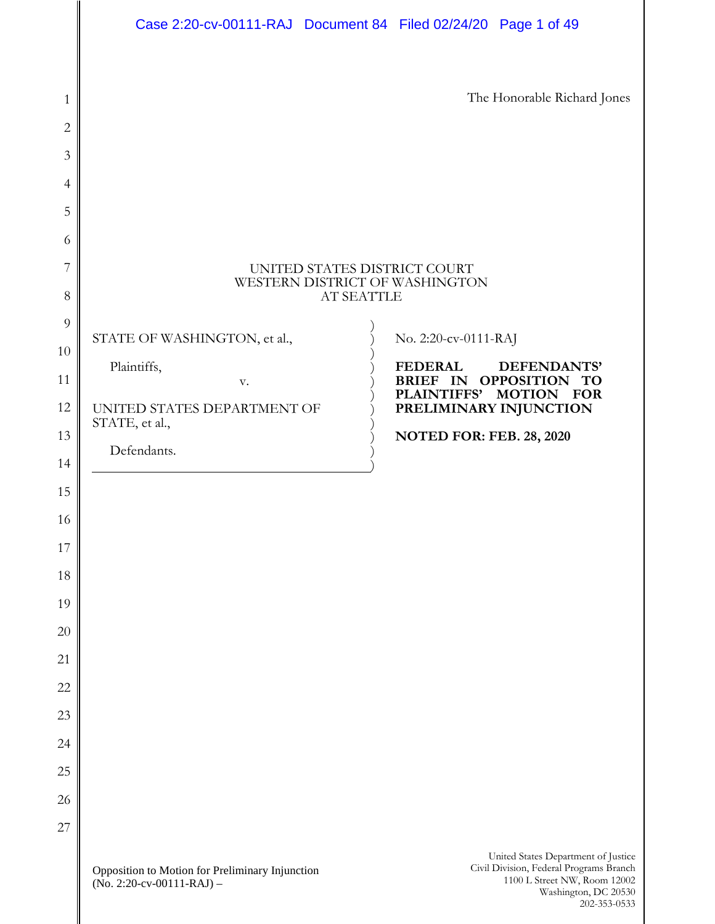|                                                                                                                    | Case 2:20-cv-00111-RAJ Document 84 Filed 02/24/20 Page 1 of 49                                                                  |                                                                                                                    |                                                                                                                                                        |
|--------------------------------------------------------------------------------------------------------------------|---------------------------------------------------------------------------------------------------------------------------------|--------------------------------------------------------------------------------------------------------------------|--------------------------------------------------------------------------------------------------------------------------------------------------------|
| 1<br>2<br>3<br>4<br>5<br>6<br>7                                                                                    | UNITED STATES DISTRICT COURT<br>WESTERN DISTRICT OF WASHINGTON                                                                  |                                                                                                                    | The Honorable Richard Jones                                                                                                                            |
| 8<br>9<br>10<br>11<br>12<br>13<br>14<br>15<br>16<br>17<br>18<br>19<br>20<br>21<br>22<br>23<br>24<br>25<br>26<br>27 | AT SEATTLE<br>STATE OF WASHINGTON, et al.,<br>Plaintiffs,<br>V.<br>UNITED STATES DEPARTMENT OF<br>STATE, et al.,<br>Defendants. | No. 2:20-cv-0111-RAJ<br><b>FEDERAL</b><br><b>BRIEF IN</b><br><b>PLAINTIFFS'</b><br><b>NOTED FOR: FEB. 28, 2020</b> | DEFENDANTS'<br><b>OPPOSITION</b><br><b>TO</b><br><b>MOTION FOR</b><br>PRELIMINARY INJUNCTION                                                           |
|                                                                                                                    | Opposition to Motion for Preliminary Injunction<br>$(No. 2:20-cv-00111-RAJ)$ -                                                  |                                                                                                                    | United States Department of Justice<br>Civil Division, Federal Programs Branch<br>1100 L Street NW, Room 12002<br>Washington, DC 20530<br>202-353-0533 |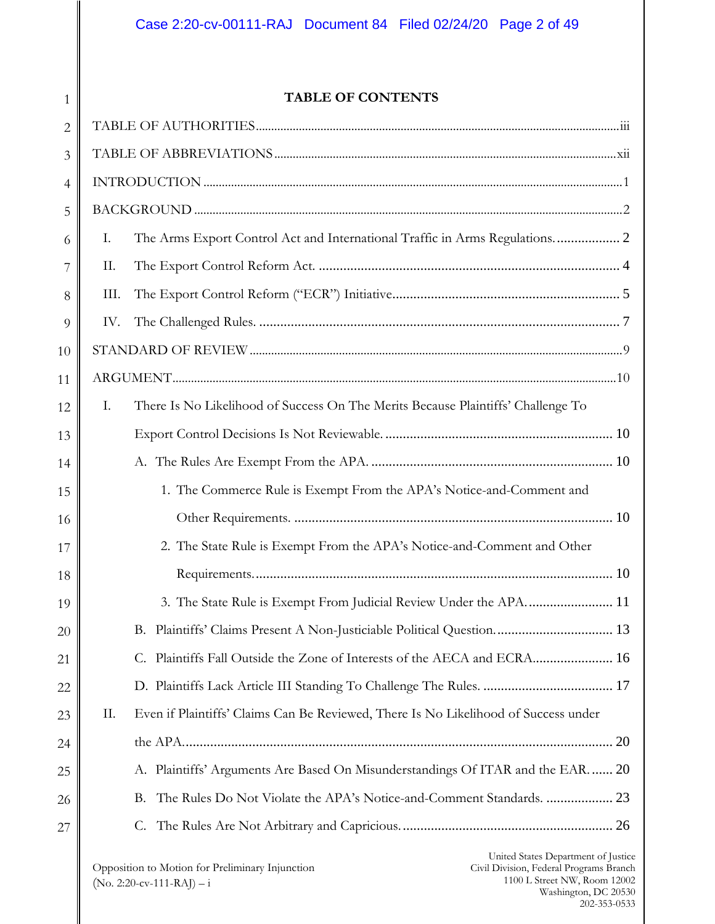## **TABLE OF CONTENTS**

| $\overline{2}$ |      |                                                                                     |  |
|----------------|------|-------------------------------------------------------------------------------------|--|
| 3              |      |                                                                                     |  |
| $\overline{4}$ |      |                                                                                     |  |
| 5              |      |                                                                                     |  |
| 6              | Ι.   | The Arms Export Control Act and International Traffic in Arms Regulations 2         |  |
| 7              | II.  |                                                                                     |  |
| 8              | III. |                                                                                     |  |
| 9              | IV.  |                                                                                     |  |
| 10             |      |                                                                                     |  |
| 11             |      |                                                                                     |  |
| 12             | Ι.   | There Is No Likelihood of Success On The Merits Because Plaintiffs' Challenge To    |  |
| 13             |      |                                                                                     |  |
| 14             |      |                                                                                     |  |
| 15             |      | 1. The Commerce Rule is Exempt From the APA's Notice-and-Comment and                |  |
| 16             |      |                                                                                     |  |
| 17             |      | 2. The State Rule is Exempt From the APA's Notice-and-Comment and Other             |  |
| 18             |      |                                                                                     |  |
| 19             |      | 3. The State Rule is Exempt From Judicial Review Under the APA 11                   |  |
| 20             |      | B. Plaintiffs' Claims Present A Non-Justiciable Political Question 13               |  |
| 21             |      | C.                                                                                  |  |
| 22             |      |                                                                                     |  |
| 23             | II.  | Even if Plaintiffs' Claims Can Be Reviewed, There Is No Likelihood of Success under |  |
| 24             |      |                                                                                     |  |
| 25             |      | A. Plaintiffs' Arguments Are Based On Misunderstandings Of ITAR and the EAR 20      |  |
| 26             |      | The Rules Do Not Violate the APA's Notice-and-Comment Standards.  23<br>В.          |  |
| 27             |      | C.                                                                                  |  |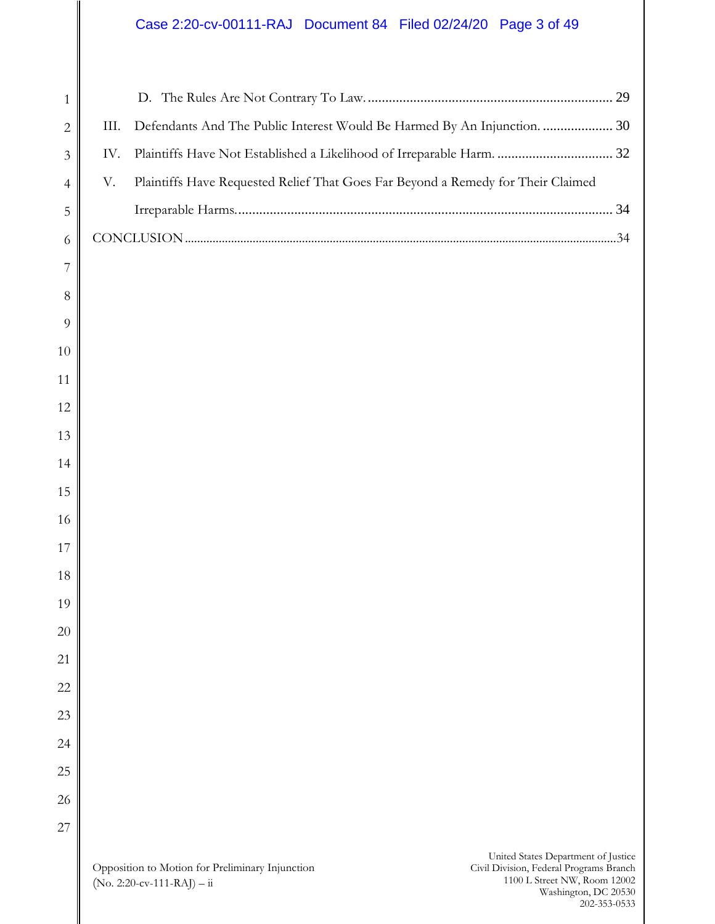# Case 2:20-cv-00111-RAJ Document 84 Filed 02/24/20 Page 3 of 49

| Ш.  | Defendants And The Public Interest Would Be Harmed By An Injunction.  30         |  |
|-----|----------------------------------------------------------------------------------|--|
| IV. | Plaintiffs Have Not Established a Likelihood of Irreparable Harm.  32            |  |
| V.  | Plaintiffs Have Requested Relief That Goes Far Beyond a Remedy for Their Claimed |  |
|     |                                                                                  |  |
|     |                                                                                  |  |
|     |                                                                                  |  |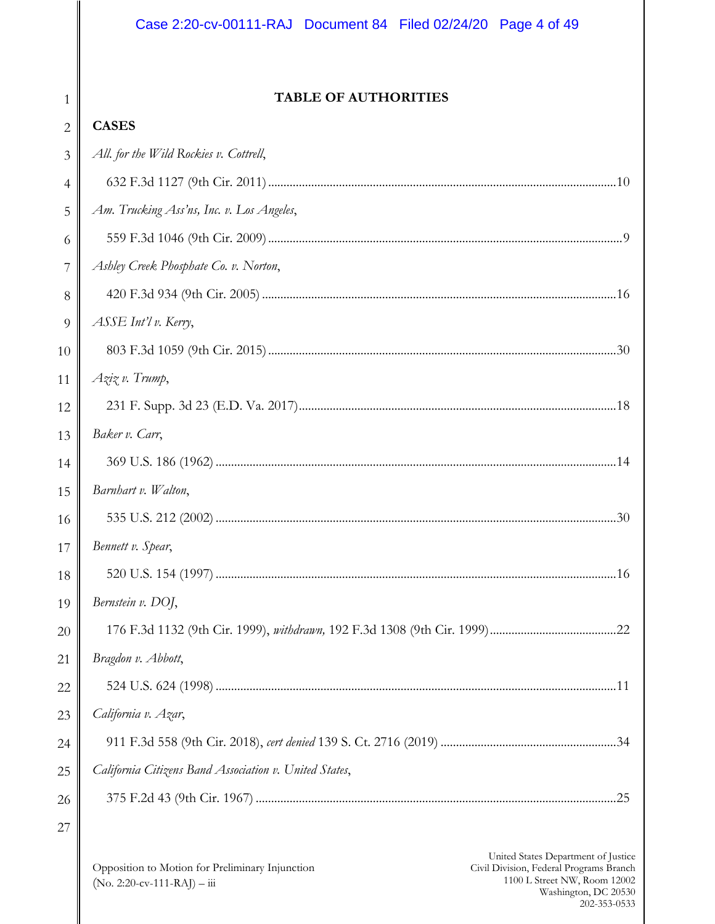## Case 2:20-cv-00111-RAJ Document 84 Filed 02/24/20 Page 4 of 49

## **TABLE OF AUTHORITIES**

| 2              | <b>CASES</b>                                           |  |
|----------------|--------------------------------------------------------|--|
| 3              | All. for the Wild Rockies v. Cottrell,                 |  |
| $\overline{4}$ |                                                        |  |
| 5              | Am. Trucking Ass'ns, Inc. v. Los Angeles,              |  |
| 6              |                                                        |  |
| 7              | Ashley Creek Phosphate Co. v. Norton,                  |  |
| 8              |                                                        |  |
| 9              | ASSE Int'l v. Kerry,                                   |  |
| 10             |                                                        |  |
| 11             | Aziz v. Trump,                                         |  |
| 12             |                                                        |  |
| 13             | Baker v. Carr,                                         |  |
| 14             |                                                        |  |
| 15             | Barnhart v. Walton,                                    |  |
| 16             |                                                        |  |
| 17             | Bennett v. Spear,                                      |  |
| 18             |                                                        |  |
| 19             | Bernstein v. DOJ,                                      |  |
| 20             |                                                        |  |
| 21             | Bragdon v. Abbott,                                     |  |
| 22             |                                                        |  |
| 23             | California v. Azar,                                    |  |
| 24             |                                                        |  |
| 25             | California Citizens Band Association v. United States, |  |
| 26             |                                                        |  |
| 27             |                                                        |  |
|                |                                                        |  |

1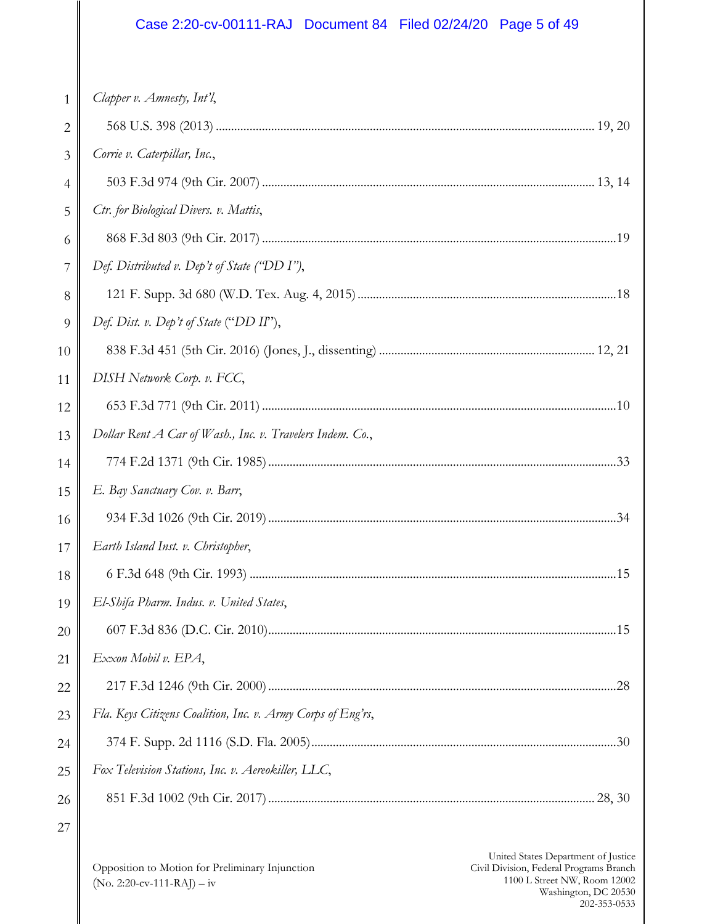# Case 2:20-cv-00111-RAJ Document 84 Filed 02/24/20 Page 5 of 49

| $\mathbf{1}$   | Clapper v. Amnesty, Int'l,                                  |
|----------------|-------------------------------------------------------------|
| $\overline{2}$ |                                                             |
| 3              | Corrie v. Caterpillar, Inc.,                                |
| $\overline{4}$ |                                                             |
| 5              | Ctr. for Biological Divers. v. Mattis,                      |
| 6              |                                                             |
| 7              | Def. Distributed v. Dep't of State ("DD I"),                |
| 8              |                                                             |
| 9              | Def. Dist. v. Dep't of State ("DD II"),                     |
| 10             |                                                             |
| 11             | DISH Network Corp. v. FCC,                                  |
| 12             |                                                             |
| 13             | Dollar Rent A Car of Wash., Inc. v. Travelers Indem. Co.,   |
| 14             |                                                             |
| 15             | E. Bay Sanctuary Cov. v. Barr,                              |
| 16             |                                                             |
| 17             | Earth Island Inst. v. Christopher,                          |
| 18             |                                                             |
| 19             | El-Shifa Pharm. Indus. v. United States,                    |
| 20             |                                                             |
| 21             | Exxon Mobil v. EPA,                                         |
| 22             |                                                             |
| 23             | Fla. Keys Citizens Coalition, Inc. v. Army Corps of Eng'rs, |
| 24             |                                                             |
| 25             | Fox Television Stations, Inc. v. Aereokiller, LLC,          |
| 26             |                                                             |
| 27             |                                                             |

Opposition to Motion for Preliminary Injunction  $(No. 2:20$ -cv-111-RAJ $) - iv$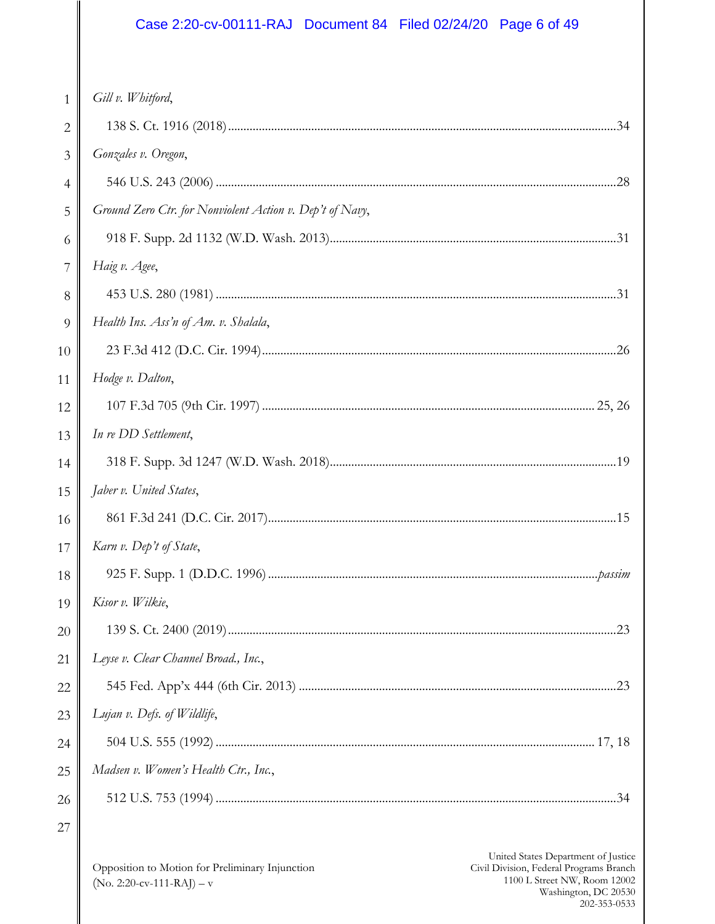# Case 2:20-cv-00111-RAJ Document 84 Filed 02/24/20 Page 6 of 49

| 1              | Gill v. Whitford,                                        |
|----------------|----------------------------------------------------------|
| $\overline{2}$ |                                                          |
| 3              | Gonzales v. Oregon,                                      |
| $\overline{4}$ |                                                          |
| 5              | Ground Zero Ctr. for Nonviolent Action v. Dep't of Navy, |
| 6              |                                                          |
| 7              | Haig v. Agee,                                            |
| 8              |                                                          |
| 9              | Health Ins. Ass'n of Am. v. Shalala,                     |
| 10             |                                                          |
| 11             | Hodge v. Dalton,                                         |
| 12             |                                                          |
| 13             | In re DD Settlement,                                     |
| 14             |                                                          |
| 15             | Jaber v. United States,                                  |
| 16             |                                                          |
| 17             | Karn v. Dep't of State,                                  |
| 18             |                                                          |
| 19             | Kisor v. Wilkie,                                         |
| 20             |                                                          |
| 21             | Leyse v. Clear Channel Broad., Inc.,                     |
| 22             |                                                          |
| 23             | Lujan v. Defs. of Wildlife,                              |
| 24             |                                                          |
| 25             | Madsen v. Women's Health Ctr., Inc.,                     |
| 26             |                                                          |
| 27             |                                                          |
|                |                                                          |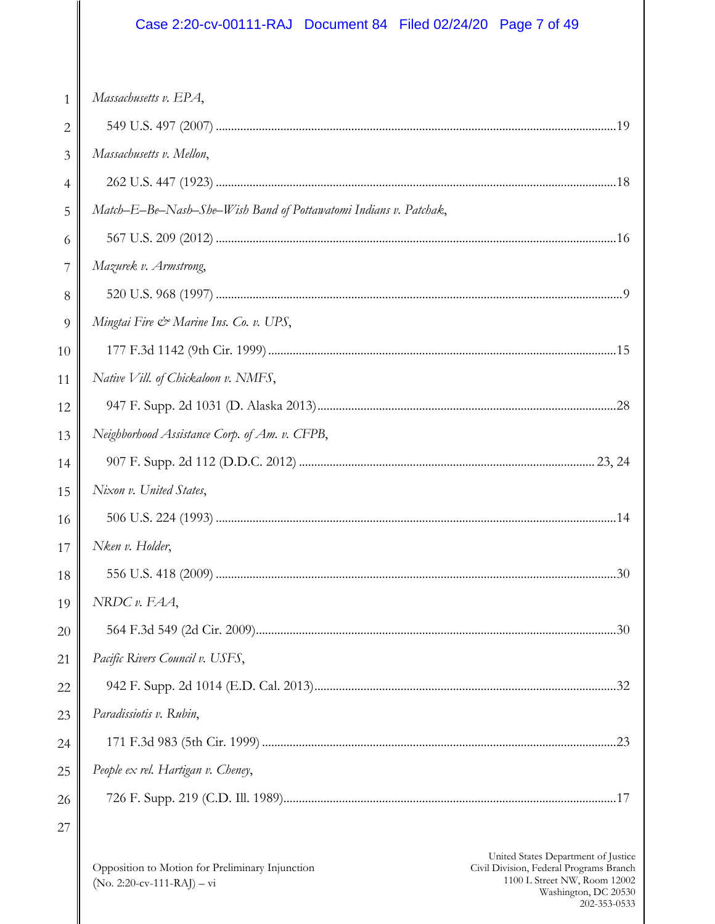# Case 2:20-cv-00111-RAJ Document 84 Filed 02/24/20 Page 7 of 49

| 1              | Massachusetts v. EPA,                                            |
|----------------|------------------------------------------------------------------|
| $\overline{2}$ |                                                                  |
| 3              | Massachusetts v. Mellon,                                         |
| $\overline{4}$ |                                                                  |
| 5              | Match-E-Be-Nash-She-Wish Band of Pottawatomi Indians v. Patchak, |
| 6              |                                                                  |
| 7              | Mazurek v. Armstrong,                                            |
| 8              |                                                                  |
| 9              | Mingtai Fire & Marine Ins. Co. v. UPS,                           |
| 10             |                                                                  |
| 11             | Native Vill. of Chickaloon v. NMFS,                              |
| 12             |                                                                  |
| 13             | Neighborhood Assistance Corp. of Am. v. CFPB,                    |
| 14             |                                                                  |
| 15             | Nixon v. United States,                                          |
| 16             |                                                                  |
| 17             | Nken v. Holder,                                                  |
| 18             |                                                                  |
| 19             | NRDC v. FAA,                                                     |
| 20             |                                                                  |
| 21             | Pacific Rivers Council v. USFS,                                  |
| 22             |                                                                  |
| 23             | Paradissiotis v. Rubin,                                          |
| 24             |                                                                  |
| 25             | People ex rel. Hartigan v. Cheney,                               |
| 26             |                                                                  |
| 27             |                                                                  |
|                |                                                                  |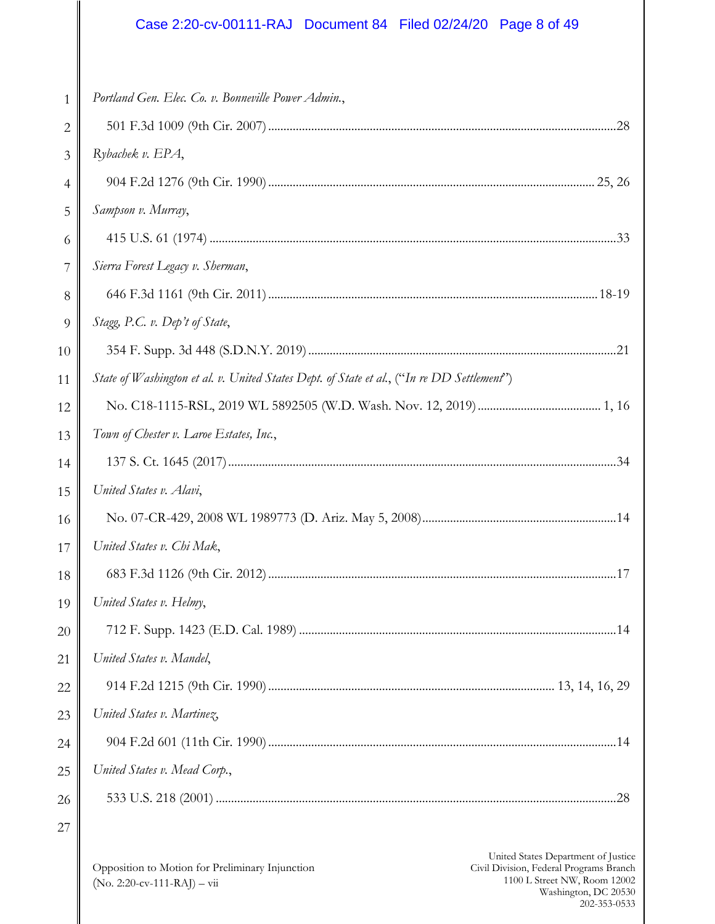# Case 2:20-cv-00111-RAJ Document 84 Filed 02/24/20 Page 8 of 49

| 1              | Portland Gen. Elec. Co. v. Bonneville Power Admin.,                                                                               |
|----------------|-----------------------------------------------------------------------------------------------------------------------------------|
| $\overline{2}$ |                                                                                                                                   |
| 3              | Rybachek v. EPA,                                                                                                                  |
| $\overline{4}$ |                                                                                                                                   |
| 5              | Sampson v. Murray,                                                                                                                |
| 6              |                                                                                                                                   |
| 7              | Sierra Forest Legacy v. Sherman,                                                                                                  |
| 8              |                                                                                                                                   |
| 9              | Stagg, P.C. v. Dep't of State,                                                                                                    |
| 10             |                                                                                                                                   |
| 11             | State of Washington et al. v. United States Dept. of State et al., ("In re DD Settlement")                                        |
| 12             |                                                                                                                                   |
| 13             | Town of Chester v. Laroe Estates, Inc.,                                                                                           |
| 14             |                                                                                                                                   |
| 15             | United States v. Alavi,                                                                                                           |
| 16             |                                                                                                                                   |
| 17             | United States v. Chi Mak,                                                                                                         |
| 18             |                                                                                                                                   |
| 19             | United States v. Helmy,                                                                                                           |
| 20             |                                                                                                                                   |
| 21             | United States v. Mandel,                                                                                                          |
| 22             |                                                                                                                                   |
| 23             | United States v. Martinez,                                                                                                        |
| 24             |                                                                                                                                   |
| 25             | United States v. Mead Corp.,                                                                                                      |
| 26             |                                                                                                                                   |
| 27             |                                                                                                                                   |
|                | United States Department of Justice<br>Opposition to Motion for Preliminary Injunction<br>Civil Division, Federal Programs Branch |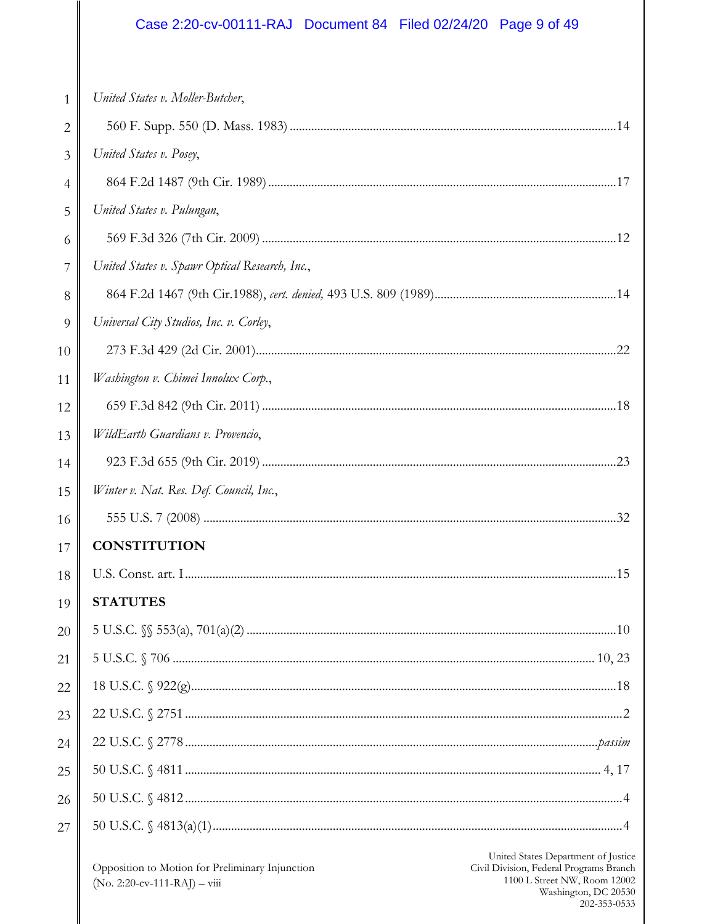# Case 2:20-cv-00111-RAJ Document 84 Filed 02/24/20 Page 9 of 49

| 1  | United States v. Moller-Butcher,                                                                                                  |
|----|-----------------------------------------------------------------------------------------------------------------------------------|
| 2  |                                                                                                                                   |
| 3  | United States v. Posey,                                                                                                           |
| 4  |                                                                                                                                   |
| 5  | United States v. Pulungan,                                                                                                        |
| 6  |                                                                                                                                   |
| 7  | United States v. Spawr Optical Research, Inc.,                                                                                    |
| 8  |                                                                                                                                   |
| 9  | Universal City Studios, Inc. v. Corley,                                                                                           |
| 10 |                                                                                                                                   |
| 11 | Washington v. Chimei Innolux Corp.,                                                                                               |
| 12 |                                                                                                                                   |
| 13 | WildEarth Guardians v. Provencio,                                                                                                 |
| 14 |                                                                                                                                   |
| 15 | Winter v. Nat. Res. Def. Council, Inc.,                                                                                           |
| 16 |                                                                                                                                   |
| 17 | <b>CONSTITUTION</b>                                                                                                               |
| 18 |                                                                                                                                   |
| 19 | <b>STATUTES</b>                                                                                                                   |
| 20 |                                                                                                                                   |
| 21 |                                                                                                                                   |
| 22 |                                                                                                                                   |
| 23 |                                                                                                                                   |
| 24 |                                                                                                                                   |
| 25 |                                                                                                                                   |
| 26 |                                                                                                                                   |
| 27 |                                                                                                                                   |
|    | United States Department of Justice<br>Opposition to Motion for Preliminary Injunction<br>Civil Division, Federal Programs Branch |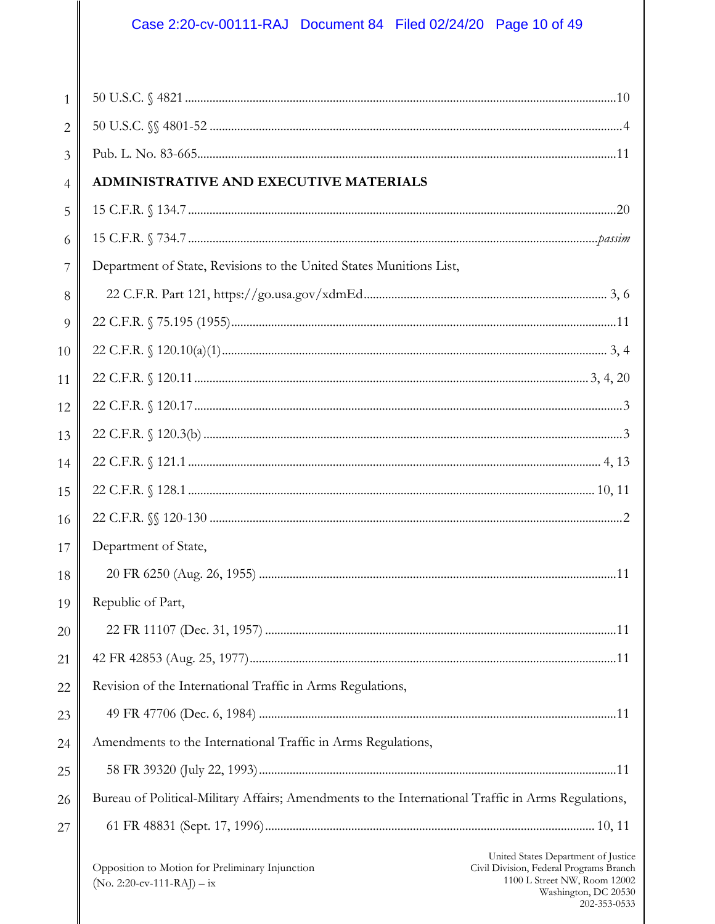| $\mathbf{1}$   |                                                                                                                                                                                                                 |
|----------------|-----------------------------------------------------------------------------------------------------------------------------------------------------------------------------------------------------------------|
| $\overline{2}$ |                                                                                                                                                                                                                 |
| 3              |                                                                                                                                                                                                                 |
| $\overline{4}$ | ADMINISTRATIVE AND EXECUTIVE MATERIALS                                                                                                                                                                          |
| 5              |                                                                                                                                                                                                                 |
| 6              |                                                                                                                                                                                                                 |
| 7              | Department of State, Revisions to the United States Munitions List,                                                                                                                                             |
| 8              |                                                                                                                                                                                                                 |
| 9              |                                                                                                                                                                                                                 |
| 10             |                                                                                                                                                                                                                 |
| 11             |                                                                                                                                                                                                                 |
| 12             |                                                                                                                                                                                                                 |
| 13             |                                                                                                                                                                                                                 |
| 14             |                                                                                                                                                                                                                 |
| 15             |                                                                                                                                                                                                                 |
| 16             |                                                                                                                                                                                                                 |
| 17             | Department of State,                                                                                                                                                                                            |
| 18             |                                                                                                                                                                                                                 |
| 19             | Republic of Part,                                                                                                                                                                                               |
| 20             |                                                                                                                                                                                                                 |
| 21             |                                                                                                                                                                                                                 |
| 22             | Revision of the International Traffic in Arms Regulations,                                                                                                                                                      |
| 23             |                                                                                                                                                                                                                 |
| 24             | Amendments to the International Traffic in Arms Regulations,                                                                                                                                                    |
| 25             |                                                                                                                                                                                                                 |
| 26             | Bureau of Political-Military Affairs; Amendments to the International Traffic in Arms Regulations,                                                                                                              |
| 27             |                                                                                                                                                                                                                 |
|                | United States Department of Justice<br>Opposition to Motion for Preliminary Injunction<br>Civil Division, Federal Programs Branch<br>1100 L Street NW, Room 12002<br>$(N0, 2.20 \text{ cy } 111 \text{ RAD}$ iv |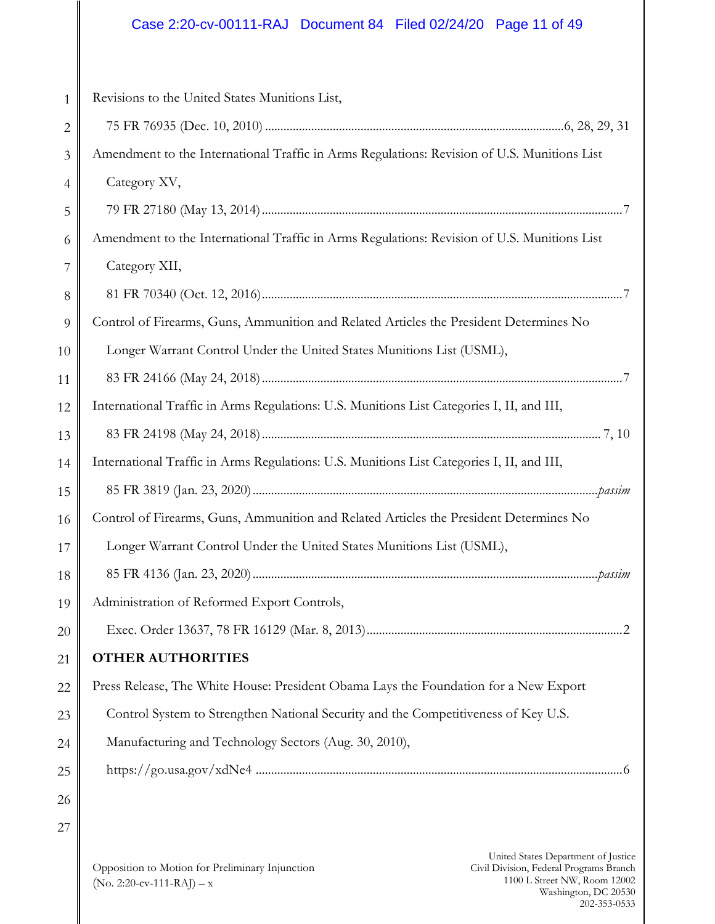# Case 2:20-cv-00111-RAJ Document 84 Filed 02/24/20 Page 11 of 49

| 1              | Revisions to the United States Munitions List,                                                                                   |
|----------------|----------------------------------------------------------------------------------------------------------------------------------|
| $\overline{2}$ |                                                                                                                                  |
| 3              | Amendment to the International Traffic in Arms Regulations: Revision of U.S. Munitions List                                      |
| 4              | Category XV,                                                                                                                     |
| 5              |                                                                                                                                  |
| 6              | Amendment to the International Traffic in Arms Regulations: Revision of U.S. Munitions List                                      |
| 7              | Category XII,                                                                                                                    |
| 8              |                                                                                                                                  |
| 9              | Control of Firearms, Guns, Ammunition and Related Articles the President Determines No                                           |
| 10             | Longer Warrant Control Under the United States Munitions List (USML),                                                            |
| 11             |                                                                                                                                  |
| 12             | International Traffic in Arms Regulations: U.S. Munitions List Categories I, II, and III,                                        |
| 13             |                                                                                                                                  |
| 14             | International Traffic in Arms Regulations: U.S. Munitions List Categories I, II, and III,                                        |
| 15             |                                                                                                                                  |
| 16             | Control of Firearms, Guns, Ammunition and Related Articles the President Determines No                                           |
| 17             | Longer Warrant Control Under the United States Munitions List (USML),                                                            |
| 18             |                                                                                                                                  |
| 19             | Administration of Reformed Export Controls,                                                                                      |
| 20             |                                                                                                                                  |
| 21             | <b>OTHER AUTHORITIES</b>                                                                                                         |
| 22             | Press Release, The White House: President Obama Lays the Foundation for a New Export                                             |
| 23             | Control System to Strengthen National Security and the Competitiveness of Key U.S.                                               |
| 24             | Manufacturing and Technology Sectors (Aug. 30, 2010),                                                                            |
| 25             |                                                                                                                                  |
| 26             |                                                                                                                                  |
| 27             |                                                                                                                                  |
|                | United States Department of Justice<br>Opposition to Motion for Preliminary Injunction<br>Civil Division Federal Programs Branch |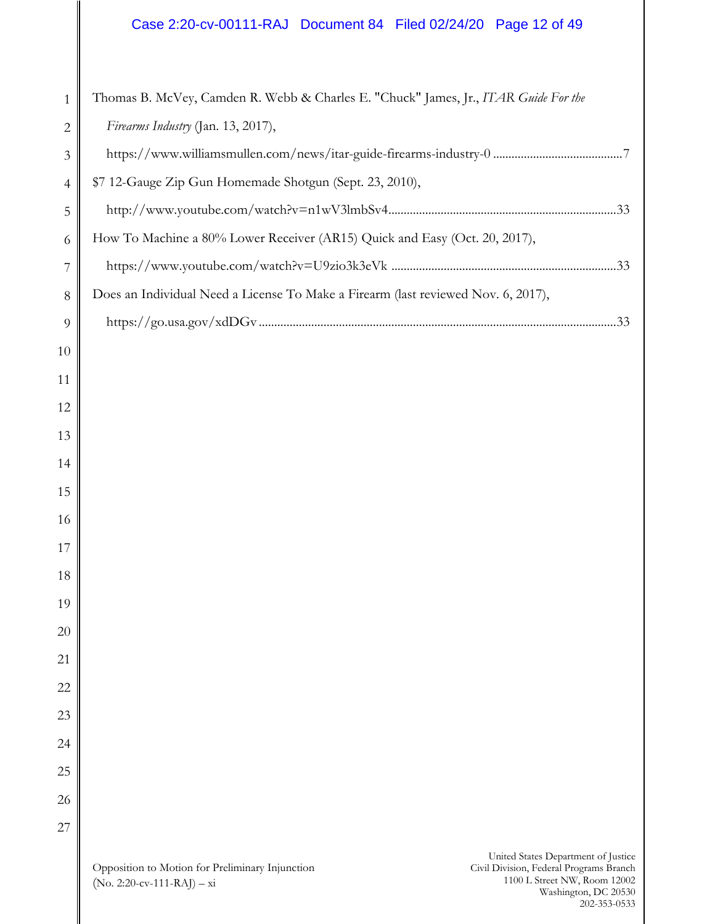# Case 2:20-cv-00111-RAJ Document 84 Filed 02/24/20 Page 12 of 49

| $\mathbf{1}$   | Thomas B. McVey, Camden R. Webb & Charles E. "Chuck" James, Jr., ITAR Guide For the                                               |
|----------------|-----------------------------------------------------------------------------------------------------------------------------------|
| $\overline{2}$ | Firearms Industry (Jan. 13, 2017),                                                                                                |
| 3              |                                                                                                                                   |
| $\overline{4}$ | \$7 12-Gauge Zip Gun Homemade Shotgun (Sept. 23, 2010),                                                                           |
| 5              |                                                                                                                                   |
| 6              | How To Machine a 80% Lower Receiver (AR15) Quick and Easy (Oct. 20, 2017),                                                        |
| 7              |                                                                                                                                   |
| 8              | Does an Individual Need a License To Make a Firearm (last reviewed Nov. 6, 2017),                                                 |
| 9              |                                                                                                                                   |
| 10             |                                                                                                                                   |
| 11             |                                                                                                                                   |
| 12             |                                                                                                                                   |
| 13             |                                                                                                                                   |
| 14             |                                                                                                                                   |
| 15             |                                                                                                                                   |
| 16             |                                                                                                                                   |
| 17             |                                                                                                                                   |
| 18             |                                                                                                                                   |
| 19             |                                                                                                                                   |
| 20             |                                                                                                                                   |
| 21             |                                                                                                                                   |
| 22             |                                                                                                                                   |
| 23             |                                                                                                                                   |
| 24             |                                                                                                                                   |
| 25             |                                                                                                                                   |
| 26             |                                                                                                                                   |
| 27             |                                                                                                                                   |
|                | United States Department of Justice<br>Civil Division, Federal Programs Branch<br>Opposition to Motion for Preliminary Injunction |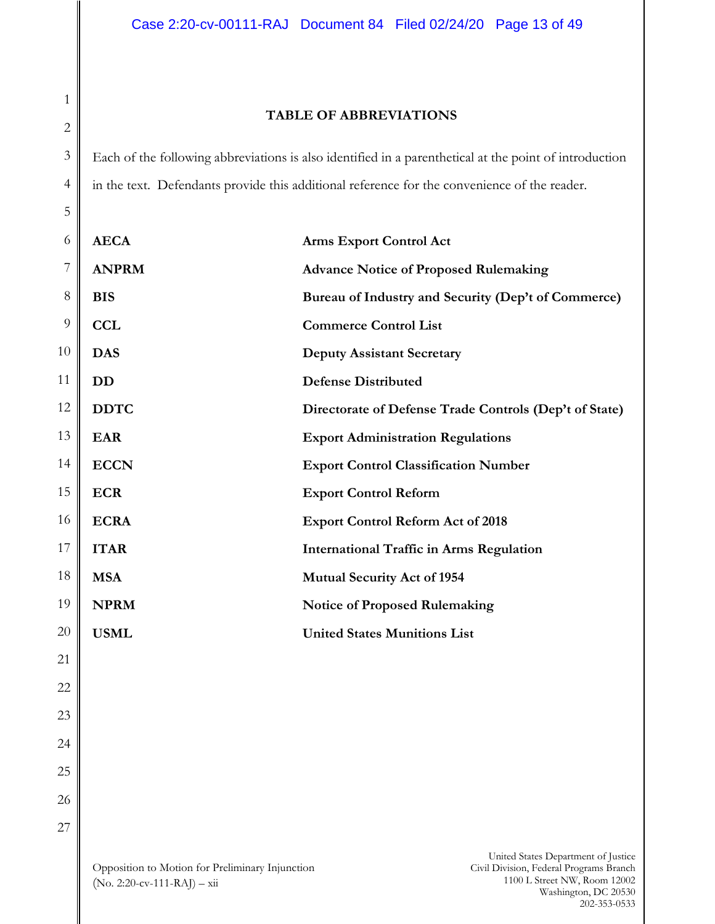#### **TABLE OF ABBREVIATIONS**

Each of the following abbreviations is also identified in a parenthetical at the point of introduction in the text. Defendants provide this additional reference for the convenience of the reader.

| 6                | <b>AECA</b>  | <b>Arms Export Control Act</b>                         |  |
|------------------|--------------|--------------------------------------------------------|--|
| 7                | <b>ANPRM</b> | <b>Advance Notice of Proposed Rulemaking</b>           |  |
| 8                | <b>BIS</b>   | Bureau of Industry and Security (Dep't of Commerce)    |  |
| 9                | <b>CCL</b>   | <b>Commerce Control List</b>                           |  |
| $\boldsymbol{0}$ | <b>DAS</b>   | <b>Deputy Assistant Secretary</b>                      |  |
| $\mathbf{1}$     | DD           | <b>Defense Distributed</b>                             |  |
| $\overline{c}$   | <b>DDTC</b>  | Directorate of Defense Trade Controls (Dep't of State) |  |
| 3                | <b>EAR</b>   | <b>Export Administration Regulations</b>               |  |
| $\overline{4}$   | <b>ECCN</b>  | <b>Export Control Classification Number</b>            |  |
| 5                | <b>ECR</b>   | <b>Export Control Reform</b>                           |  |
| 6                | <b>ECRA</b>  | <b>Export Control Reform Act of 2018</b>               |  |
| 7                | <b>ITAR</b>  | <b>International Traffic in Arms Regulation</b>        |  |
| 8                | <b>MSA</b>   | <b>Mutual Security Act of 1954</b>                     |  |
| 9                | <b>NPRM</b>  | <b>Notice of Proposed Rulemaking</b>                   |  |
| $\overline{0}$   | <b>USML</b>  | <b>United States Munitions List</b>                    |  |
| $\overline{a}$   |              |                                                        |  |
| $\overline{2}$   |              |                                                        |  |
| $^{23}$          |              |                                                        |  |
| '4               |              |                                                        |  |
| :5               |              |                                                        |  |
| <sup>26</sup>    |              |                                                        |  |
|                  |              |                                                        |  |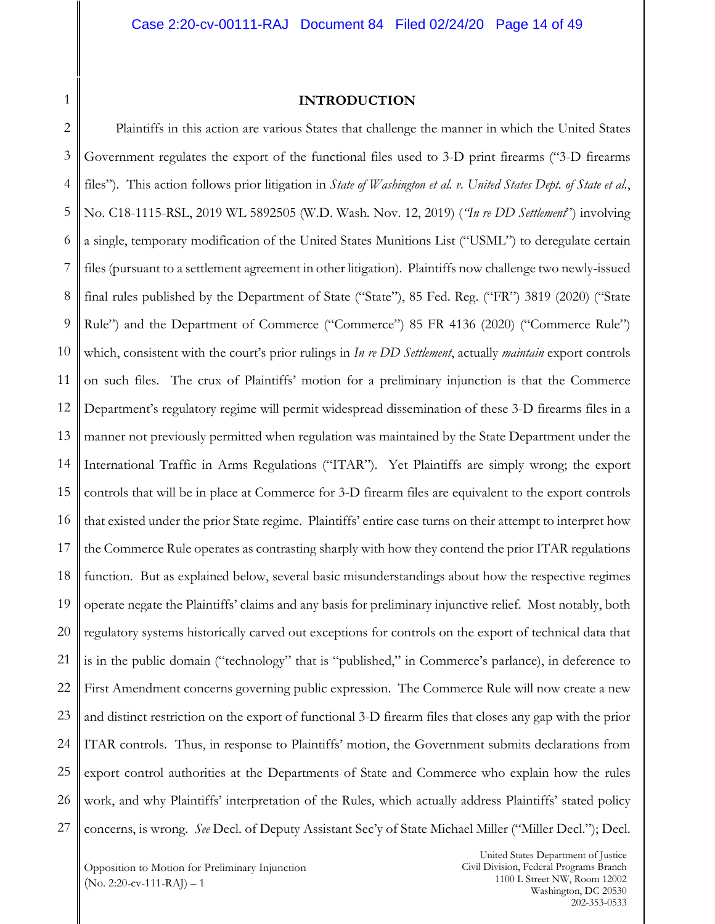1

#### **INTRODUCTION**

2 3 4 5 6 7 8 9 10 11 12 13 14 15 16 17 18 19 20 21 22 23 24 25 26 27 Plaintiffs in this action are various States that challenge the manner in which the United States Government regulates the export of the functional files used to 3-D print firearms ("3-D firearms files"). This action follows prior litigation in *State of Washington et al. v. United States Dept. of State et al.*, No. C18-1115-RSL, 2019 WL 5892505 (W.D. Wash. Nov. 12, 2019) (*"In re DD Settlement*") involving a single, temporary modification of the United States Munitions List ("USML") to deregulate certain files (pursuant to a settlement agreement in other litigation). Plaintiffs now challenge two newly-issued final rules published by the Department of State ("State"), 85 Fed. Reg. ("FR") 3819 (2020) ("State Rule") and the Department of Commerce ("Commerce") 85 FR 4136 (2020) ("Commerce Rule") which, consistent with the court's prior rulings in *In re DD Settlement*, actually *maintain* export controls on such files. The crux of Plaintiffs' motion for a preliminary injunction is that the Commerce Department's regulatory regime will permit widespread dissemination of these 3-D firearms files in a manner not previously permitted when regulation was maintained by the State Department under the International Traffic in Arms Regulations ("ITAR"). Yet Plaintiffs are simply wrong; the export controls that will be in place at Commerce for 3-D firearm files are equivalent to the export controls that existed under the prior State regime. Plaintiffs' entire case turns on their attempt to interpret how the Commerce Rule operates as contrasting sharply with how they contend the prior ITAR regulations function. But as explained below, several basic misunderstandings about how the respective regimes operate negate the Plaintiffs' claims and any basis for preliminary injunctive relief. Most notably, both regulatory systems historically carved out exceptions for controls on the export of technical data that is in the public domain ("technology" that is "published," in Commerce's parlance), in deference to First Amendment concerns governing public expression. The Commerce Rule will now create a new and distinct restriction on the export of functional 3-D firearm files that closes any gap with the prior ITAR controls. Thus, in response to Plaintiffs' motion, the Government submits declarations from export control authorities at the Departments of State and Commerce who explain how the rules work, and why Plaintiffs' interpretation of the Rules, which actually address Plaintiffs' stated policy concerns, is wrong. *See* Decl. of Deputy Assistant Sec'y of State Michael Miller ("Miller Decl."); Decl.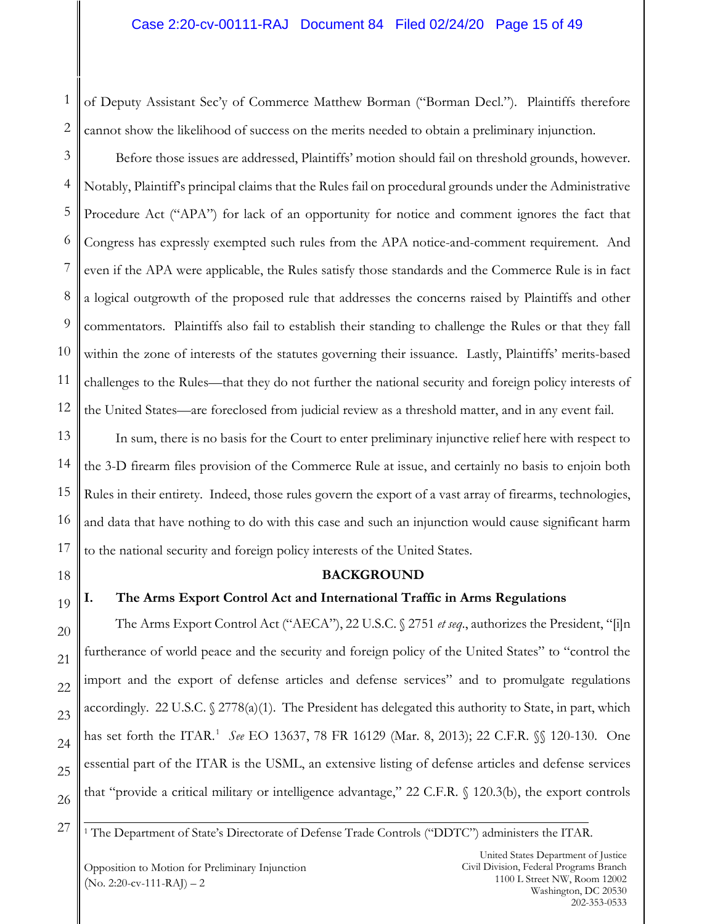of Deputy Assistant Sec'y of Commerce Matthew Borman ("Borman Decl."). Plaintiffs therefore cannot show the likelihood of success on the merits needed to obtain a preliminary injunction.

3 4 5 6 7 8 9 10 11 12 Before those issues are addressed, Plaintiffs' motion should fail on threshold grounds, however. Notably, Plaintiff's principal claims that the Rules fail on procedural grounds under the Administrative Procedure Act ("APA") for lack of an opportunity for notice and comment ignores the fact that Congress has expressly exempted such rules from the APA notice-and-comment requirement. And even if the APA were applicable, the Rules satisfy those standards and the Commerce Rule is in fact a logical outgrowth of the proposed rule that addresses the concerns raised by Plaintiffs and other commentators. Plaintiffs also fail to establish their standing to challenge the Rules or that they fall within the zone of interests of the statutes governing their issuance. Lastly, Plaintiffs' merits-based challenges to the Rules—that they do not further the national security and foreign policy interests of the United States—are foreclosed from judicial review as a threshold matter, and in any event fail.

13 14 15 16 In sum, there is no basis for the Court to enter preliminary injunctive relief here with respect to the 3-D firearm files provision of the Commerce Rule at issue, and certainly no basis to enjoin both Rules in their entirety. Indeed, those rules govern the export of a vast array of firearms, technologies, and data that have nothing to do with this case and such an injunction would cause significant harm to the national security and foreign policy interests of the United States.

18

17

19

20

21

22

23

24

25

26

<span id="page-14-0"></span>27

1

2

#### **BACKGROUND**

## **I. The Arms Export Control Act and International Traffic in Arms Regulations**

The Arms Export Control Act ("AECA"), 22 U.S.C. § 2751 *et seq*., authorizes the President, "[i]n furtherance of world peace and the security and foreign policy of the United States" to "control the import and the export of defense articles and defense services" and to promulgate regulations accordingly. 22 U.S.C.  $\sqrt{2778(a)(1)}$ . The President has delegated this authority to State, in part, which has set forth the ITAR.[1](#page-14-0) *See* EO 13637, 78 FR 16129 (Mar. 8, 2013); 22 C.F.R. §§ 120-130. One essential part of the ITAR is the USML, an extensive listing of defense articles and defense services that "provide a critical military or intelligence advantage," 22 C.F.R. § 120.3(b), the export controls

<sup>1</sup> The Department of State's Directorate of Defense Trade Controls ("DDTC") administers the ITAR.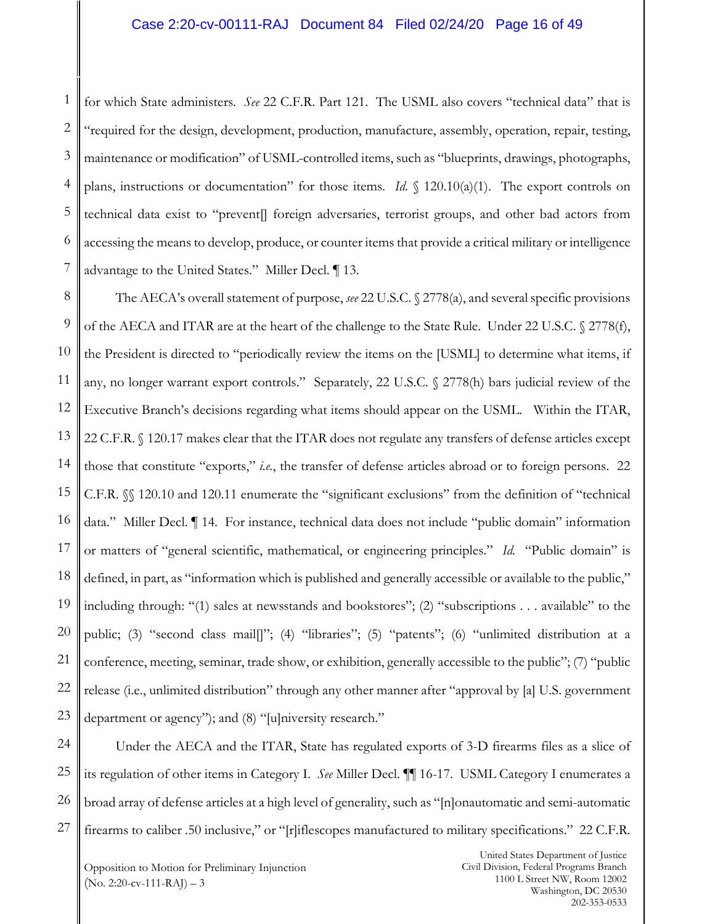1 2 3 4 5 6 7 for which State administers. *See* 22 C.F.R. Part 121. The USML also covers "technical data" that is "required for the design, development, production, manufacture, assembly, operation, repair, testing, maintenance or modification" of USML-controlled items, such as "blueprints, drawings, photographs, plans, instructions or documentation" for those items. *Id.* § 120.10(a)(1). The export controls on technical data exist to "prevent[] foreign adversaries, terrorist groups, and other bad actors from accessing the means to develop, produce, or counter items that provide a critical military or intelligence advantage to the United States." Miller Decl. ¶ 13.

8 9 10 11 12 13 14 15 16 17 18 19 20 21 22 23 The AECA's overall statement of purpose, see 22 U.S.C. § 2778(a), and several specific provisions of the AECA and ITAR are at the heart of the challenge to the State Rule. Under 22 U.S.C. § 2778(f), the President is directed to "periodically review the items on the [USML] to determine what items, if any, no longer warrant export controls." Separately, 22 U.S.C. § 2778(h) bars judicial review of the Executive Branch's decisions regarding what items should appear on the USML. Within the ITAR, 22 C.F.R. § 120.17 makes clear that the ITAR does not regulate any transfers of defense articles except those that constitute "exports," *i.e.*, the transfer of defense articles abroad or to foreign persons. 22 C.F.R. §§ 120.10 and 120.11 enumerate the "significant exclusions" from the definition of "technical data." Miller Decl. ¶ 14. For instance, technical data does not include "public domain" information or matters of "general scientific, mathematical, or engineering principles." *Id.* "Public domain" is defined, in part, as "information which is published and generally accessible or available to the public," including through: "(1) sales at newsstands and bookstores"; (2) "subscriptions . . . available" to the public; (3) "second class mail[]"; (4) "libraries"; (5) "patents"; (6) "unlimited distribution at a conference, meeting, seminar, trade show, or exhibition, generally accessible to the public"; (7) "public release (i.e., unlimited distribution" through any other manner after "approval by [a] U.S. government department or agency"); and (8) "[u]niversity research."

24 25 26 27 Under the AECA and the ITAR, State has regulated exports of 3-D firearms files as a slice of its regulation of other items in Category I. *See* Miller Decl. ¶¶ 16-17. USML Category I enumerates a broad array of defense articles at a high level of generality, such as "[n]onautomatic and semi-automatic firearms to caliber .50 inclusive," or "[r]iflescopes manufactured to military specifications." 22 C.F.R.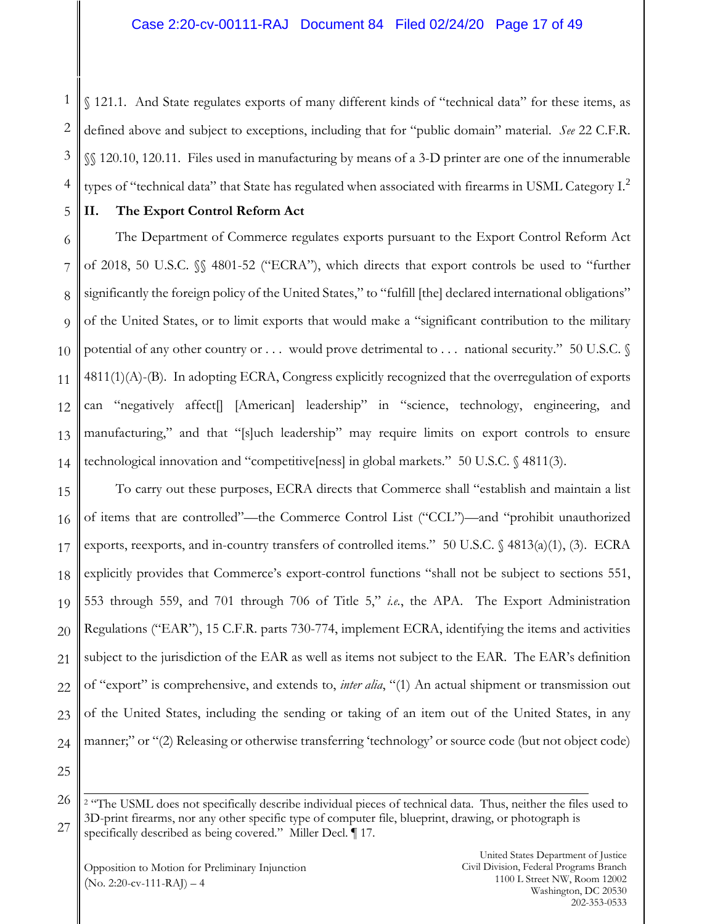1 2 3 4 § 121.1. And State regulates exports of many different kinds of "technical data" for these items, as defined above and subject to exceptions, including that for "public domain" material. *See* 22 C.F.R. §§ 120.10, 120.11. Files used in manufacturing by means of a 3-D printer are one of the innumerable types of "technical data" that State has regulated when associated with firearms in USML Category I.<sup>[2](#page-16-0)</sup>

#### 5 **II. The Export Control Reform Act**

6 7 8 9 10 11 12 13 14 The Department of Commerce regulates exports pursuant to the Export Control Reform Act of 2018, 50 U.S.C. §§ 4801-52 ("ECRA"), which directs that export controls be used to "further significantly the foreign policy of the United States," to "fulfill [the] declared international obligations" of the United States, or to limit exports that would make a "significant contribution to the military potential of any other country or . . . would prove detrimental to . . . national security." 50 U.S.C. § 4811(1)(A)-(B). In adopting ECRA, Congress explicitly recognized that the overregulation of exports can "negatively affect[] [American] leadership" in "science, technology, engineering, and manufacturing," and that "[s]uch leadership" may require limits on export controls to ensure technological innovation and "competitive[ness] in global markets." 50 U.S.C. § 4811(3).

15 16 17 18 19 20 21 22 23 24 25 To carry out these purposes, ECRA directs that Commerce shall "establish and maintain a list of items that are controlled"—the Commerce Control List ("CCL")—and "prohibit unauthorized exports, reexports, and in-country transfers of controlled items." 50 U.S.C. § 4813(a)(1), (3). ECRA explicitly provides that Commerce's export-control functions "shall not be subject to sections 551, 553 through 559, and 701 through 706 of Title 5," *i.e.*, the APA. The Export Administration Regulations ("EAR"), 15 C.F.R. parts 730-774, implement ECRA, identifying the items and activities subject to the jurisdiction of the EAR as well as items not subject to the EAR. The EAR's definition of "export" is comprehensive, and extends to, *inter alia*, "(1) An actual shipment or transmission out of the United States, including the sending or taking of an item out of the United States, in any manner;" or "(2) Releasing or otherwise transferring 'technology' or source code (but not object code)

<span id="page-16-0"></span><sup>26</sup> 27  $\overline{a}$ <sup>2</sup> "The USML does not specifically describe individual pieces of technical data. Thus, neither the files used to 3D-print firearms, nor any other specific type of computer file, blueprint, drawing, or photograph is specifically described as being covered." Miller Decl. 17.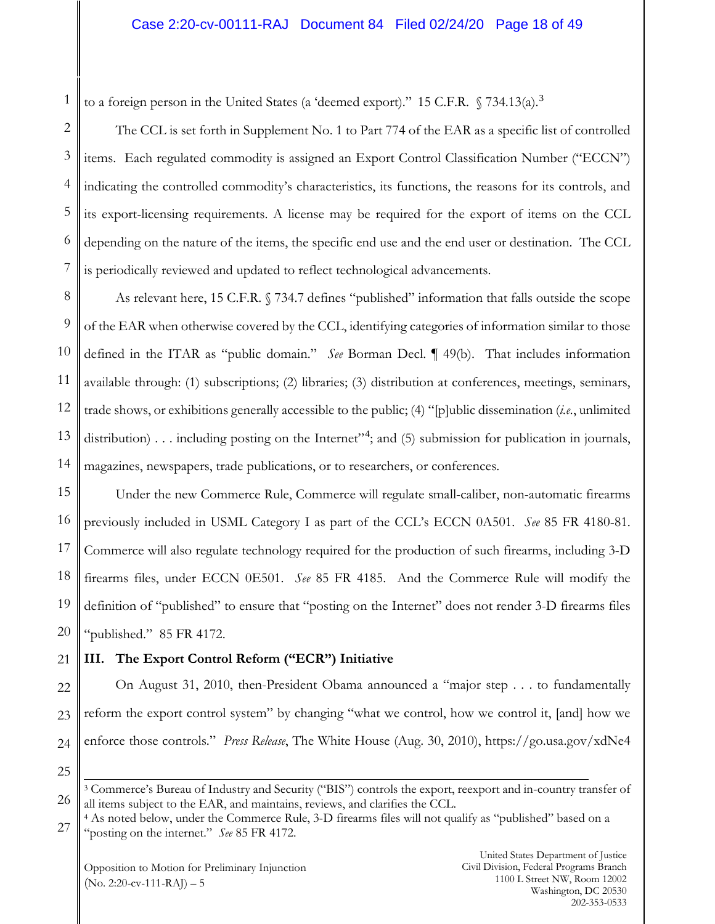to a foreign person in the United States (a 'deemed export)." 15 C.F.R.  $\S 734.13(a).$  $\S 734.13(a).$  $\S 734.13(a).$ <sup>3</sup>

2 3 4 5 6 7 The CCL is set forth in Supplement No. 1 to Part 774 of the EAR as a specific list of controlled items. Each regulated commodity is assigned an Export Control Classification Number ("ECCN") indicating the controlled commodity's characteristics, its functions, the reasons for its controls, and its export-licensing requirements. A license may be required for the export of items on the CCL depending on the nature of the items, the specific end use and the end user or destination. The CCL is periodically reviewed and updated to reflect technological advancements.

8 9 10 11 12 13 14 As relevant here, 15 C.F.R. § 734.7 defines "published" information that falls outside the scope of the EAR when otherwise covered by the CCL, identifying categories of information similar to those defined in the ITAR as "public domain." *See* Borman Decl. ¶ 49(b). That includes information available through: (1) subscriptions; (2) libraries; (3) distribution at conferences, meetings, seminars, trade shows, or exhibitions generally accessible to the public; (4) "[p]ublic dissemination (*i.e.*, unlimited distribution) . . . including posting on the Internet<sup>3[4](#page-17-1)</sup>; and (5) submission for publication in journals, magazines, newspapers, trade publications, or to researchers, or conferences.

15 16 17 18 19 20 Under the new Commerce Rule, Commerce will regulate small-caliber, non-automatic firearms previously included in USML Category I as part of the CCL's ECCN 0A501. *See* 85 FR 4180-81. Commerce will also regulate technology required for the production of such firearms, including 3-D firearms files, under ECCN 0E501. *See* 85 FR 4185. And the Commerce Rule will modify the definition of "published" to ensure that "posting on the Internet" does not render 3-D firearms files "published." 85 FR 4172.

#### 21 **III. The Export Control Reform ("ECR") Initiative**

22 23 24 On August 31, 2010, then-President Obama announced a "major step . . . to fundamentally reform the export control system" by changing "what we control, how we control it, [and] how we enforce those controls." *Press Release*, The White House (Aug. 30, 2010), https://go.usa.gov/xdNe4

25

<span id="page-17-0"></span>26

 $\overline{a}$ <sup>3</sup> Commerce's Bureau of Industry and Security ("BIS") controls the export, reexport and in-country transfer of all items subject to the EAR, and maintains, reviews, and clarifies the CCL.

<span id="page-17-1"></span><sup>27</sup> <sup>4</sup> As noted below, under the Commerce Rule, 3-D firearms files will not qualify as "published" based on a "posting on the internet." *See* 85 FR 4172.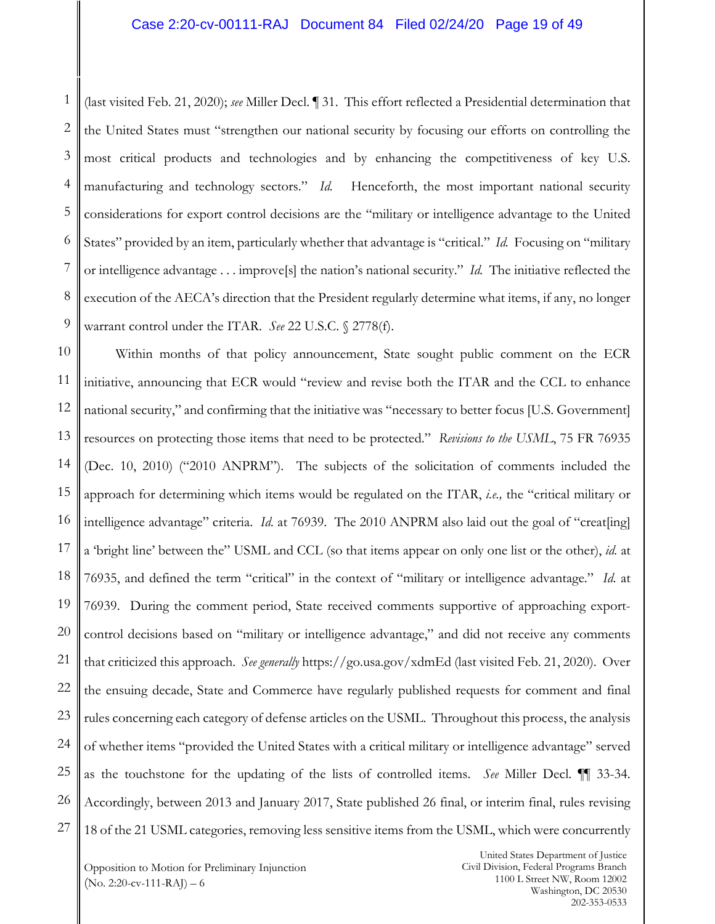#### Case 2:20-cv-00111-RAJ Document 84 Filed 02/24/20 Page 19 of 49

1 2 3 4 5 6 7 8 9 (last visited Feb. 21, 2020); *see* Miller Decl. ¶ 31. This effort reflected a Presidential determination that the United States must "strengthen our national security by focusing our efforts on controlling the most critical products and technologies and by enhancing the competitiveness of key U.S. manufacturing and technology sectors." *Id.* Henceforth, the most important national security considerations for export control decisions are the "military or intelligence advantage to the United States" provided by an item, particularly whether that advantage is "critical." *Id.* Focusing on "military or intelligence advantage . . . improve[s] the nation's national security." *Id.* The initiative reflected the execution of the AECA's direction that the President regularly determine what items, if any, no longer warrant control under the ITAR. *See* 22 U.S.C. § 2778(f).

10 11 12 13 14 15 16 17 18 19 20 21 22 23 24 25 26 27 Within months of that policy announcement, State sought public comment on the ECR initiative, announcing that ECR would "review and revise both the ITAR and the CCL to enhance national security," and confirming that the initiative was "necessary to better focus [U.S. Government] resources on protecting those items that need to be protected." *Revisions to the USML*, 75 FR 76935 (Dec. 10, 2010) ("2010 ANPRM"). The subjects of the solicitation of comments included the approach for determining which items would be regulated on the ITAR, *i.e.,* the "critical military or intelligence advantage" criteria. *Id.* at 76939. The 2010 ANPRM also laid out the goal of "creat[ing] a 'bright line' between the" USML and CCL (so that items appear on only one list or the other), *id.* at 76935, and defined the term "critical" in the context of "military or intelligence advantage." *Id.* at 76939. During the comment period, State received comments supportive of approaching exportcontrol decisions based on "military or intelligence advantage," and did not receive any comments that criticized this approach. *See generally* https://go.usa.gov/xdmEd (last visited Feb. 21, 2020). Over the ensuing decade, State and Commerce have regularly published requests for comment and final rules concerning each category of defense articles on the USML. Throughout this process, the analysis of whether items "provided the United States with a critical military or intelligence advantage" served as the touchstone for the updating of the lists of controlled items. *See* Miller Decl. ¶¶ 33-34. Accordingly, between 2013 and January 2017, State published 26 final, or interim final, rules revising 18 of the 21 USML categories, removing less sensitive items from the USML, which were concurrently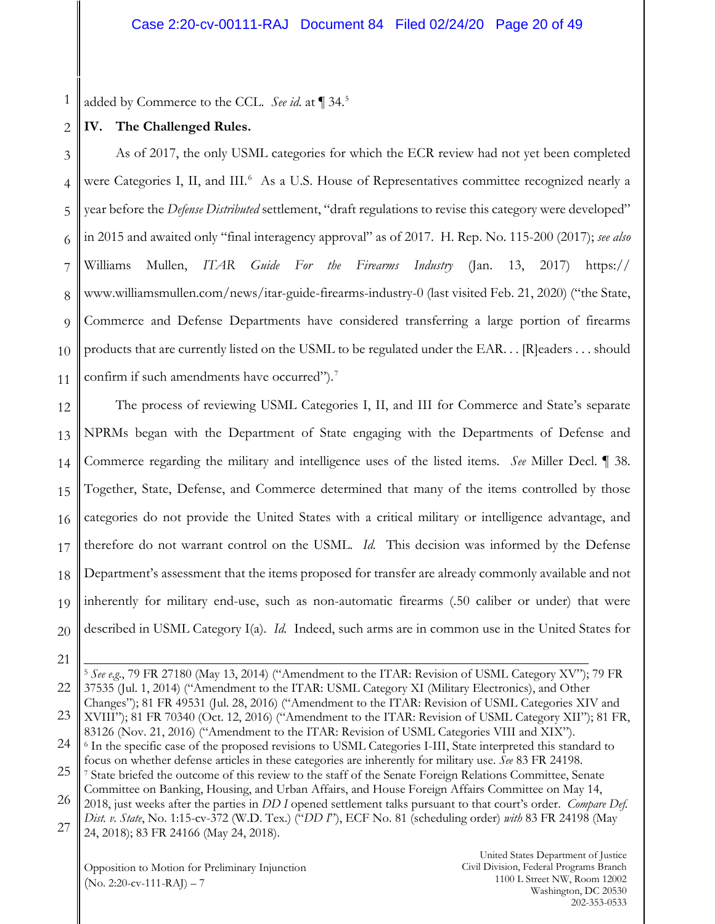1 added by Commerce to the CCL. *See id.* at ¶ 34.[5](#page-19-0)

#### 2 **IV. The Challenged Rules.**

3 4 5 6 7 8 9 10 11 As of 2017, the only USML categories for which the ECR review had not yet been completed were Categories I, II, and III.<sup>[6](#page-19-1)</sup> As a U.S. House of Representatives committee recognized nearly a year before the *Defense Distributed* settlement, "draft regulations to revise this category were developed" in 2015 and awaited only "final interagency approval" as of 2017. H. Rep. No. 115-200 (2017); *see also*  Williams Mullen, *ITAR Guide For the Firearms Industry* (Jan. 13, 2017) https:// www.williamsmullen.com/news/itar-guide-firearms-industry-0 (last visited Feb. 21, 2020) ("the State, Commerce and Defense Departments have considered transferring a large portion of firearms products that are currently listed on the USML to be regulated under the EAR. . . [R]eaders . . . should confirm if such amendments have occurred").<sup>[7](#page-19-2)</sup>

12 13 14 15 16 17 18 19 20 The process of reviewing USML Categories I, II, and III for Commerce and State's separate NPRMs began with the Department of State engaging with the Departments of Defense and Commerce regarding the military and intelligence uses of the listed items. *See* Miller Decl. ¶ 38. Together, State, Defense, and Commerce determined that many of the items controlled by those categories do not provide the United States with a critical military or intelligence advantage, and therefore do not warrant control on the USML. *Id.* This decision was informed by the Defense Department's assessment that the items proposed for transfer are already commonly available and not inherently for military end-use, such as non-automatic firearms (.50 caliber or under) that were described in USML Category I(a). *Id.* Indeed, such arms are in common use in the United States for

21

 $\overline{a}$ 

<span id="page-19-2"></span><span id="page-19-1"></span><span id="page-19-0"></span>22 23 24 25 26 27 <sup>5</sup> *See e.g*., 79 FR 27180 (May 13, 2014) ("Amendment to the ITAR: Revision of USML Category XV"); 79 FR 37535 (Jul. 1, 2014) ("Amendment to the ITAR: USML Category XI (Military Electronics), and Other Changes"); 81 FR 49531 (Jul. 28, 2016) ("Amendment to the ITAR: Revision of USML Categories XIV and XVIII"); 81 FR 70340 (Oct. 12, 2016) ("Amendment to the ITAR: Revision of USML Category XII"); 81 FR, 83126 (Nov. 21, 2016) ("Amendment to the ITAR: Revision of USML Categories VIII and XIX"). <sup>6</sup> In the specific case of the proposed revisions to USML Categories I-III, State interpreted this standard to focus on whether defense articles in these categories are inherently for military use. *See* 83 FR 24198. <sup>7</sup> State briefed the outcome of this review to the staff of the Senate Foreign Relations Committee, Senate Committee on Banking, Housing, and Urban Affairs, and House Foreign Affairs Committee on May 14, 2018, just weeks after the parties in *DD I* opened settlement talks pursuant to that court's order. *Compare Def. Dist. v. State*, No. 1:15-cv-372 (W.D. Tex.) ("*DD I*"), ECF No. 81 (scheduling order) *with* 83 FR 24198 (May 24, 2018); 83 FR 24166 (May 24, 2018).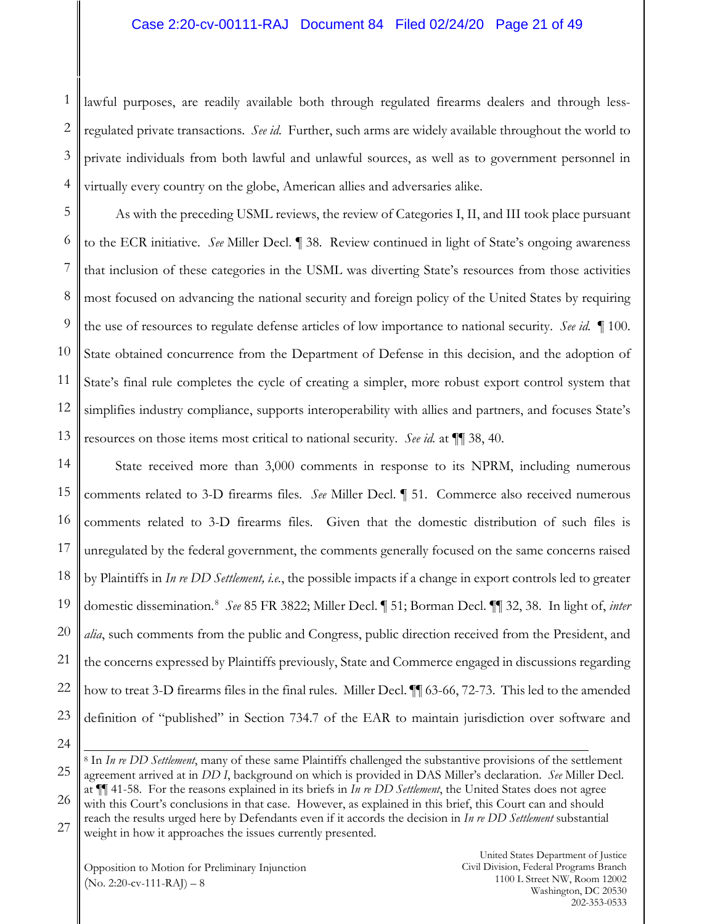#### Case 2:20-cv-00111-RAJ Document 84 Filed 02/24/20 Page 21 of 49

1 2 3 4 lawful purposes, are readily available both through regulated firearms dealers and through lessregulated private transactions. *See id.* Further, such arms are widely available throughout the world to private individuals from both lawful and unlawful sources, as well as to government personnel in virtually every country on the globe, American allies and adversaries alike.

5 6 7 8 9 10 11 12 13 As with the preceding USML reviews, the review of Categories I, II, and III took place pursuant to the ECR initiative. *See* Miller Decl. ¶ 38. Review continued in light of State's ongoing awareness that inclusion of these categories in the USML was diverting State's resources from those activities most focused on advancing the national security and foreign policy of the United States by requiring the use of resources to regulate defense articles of low importance to national security. *See id.* ¶ 100. State obtained concurrence from the Department of Defense in this decision, and the adoption of State's final rule completes the cycle of creating a simpler, more robust export control system that simplifies industry compliance, supports interoperability with allies and partners, and focuses State's resources on those items most critical to national security. *See id.* at ¶¶ 38, 40.

14 15 16 17 18 19 20 21 22 23 State received more than 3,000 comments in response to its NPRM, including numerous comments related to 3-D firearms files. *See* Miller Decl. ¶ 51. Commerce also received numerous comments related to 3-D firearms files. Given that the domestic distribution of such files is unregulated by the federal government, the comments generally focused on the same concerns raised by Plaintiffs in *In re DD Settlement, i.e.*, the possible impacts if a change in export controls led to greater domestic dissemination. [8](#page-20-0) *See* 85 FR 3822; Miller Decl. ¶ 51; Borman Decl. ¶¶ 32, 38. In light of, *inter alia*, such comments from the public and Congress, public direction received from the President, and the concerns expressed by Plaintiffs previously, State and Commerce engaged in discussions regarding how to treat 3-D firearms files in the final rules. Miller Decl. ¶¶ 63-66, 72-73. This led to the amended definition of "published" in Section 734.7 of the EAR to maintain jurisdiction over software and

24

<span id="page-20-0"></span>25 26 27  $\overline{a}$ <sup>8</sup> In *In re DD Settlement*, many of these same Plaintiffs challenged the substantive provisions of the settlement agreement arrived at in *DD I*, background on which is provided in DAS Miller's declaration. *See* Miller Decl. at ¶¶ 41-58. For the reasons explained in its briefs in *In re DD Settlement*, the United States does not agree with this Court's conclusions in that case. However, as explained in this brief, this Court can and should reach the results urged here by Defendants even if it accords the decision in *In re DD Settlement* substantial weight in how it approaches the issues currently presented.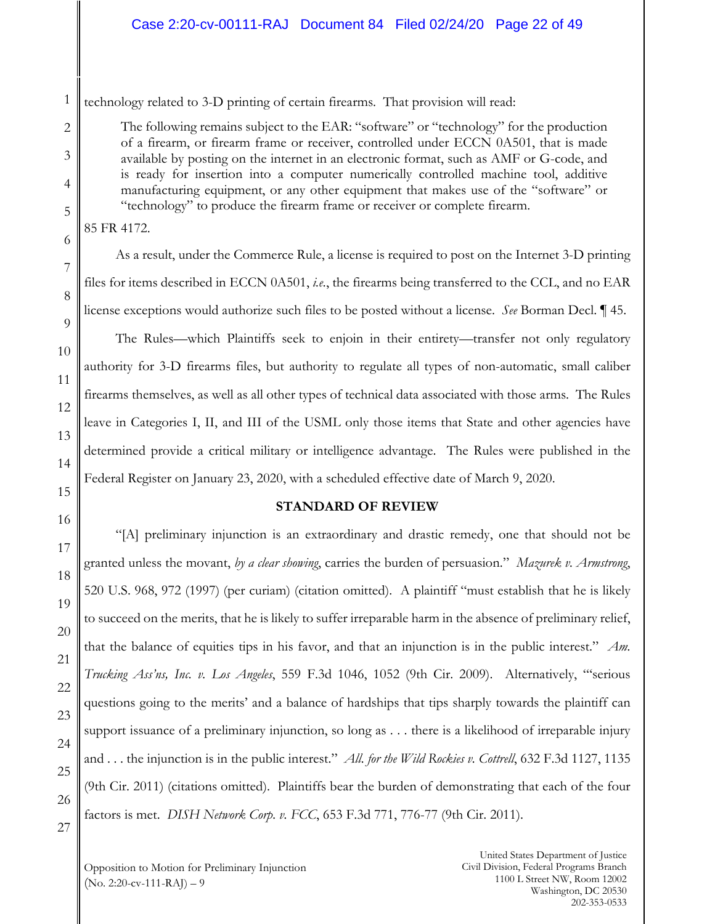#### Case 2:20-cv-00111-RAJ Document 84 Filed 02/24/20 Page 22 of 49

1 technology related to 3-D printing of certain firearms. That provision will read:

> The following remains subject to the EAR: "software" or "technology" for the production of a firearm, or firearm frame or receiver, controlled under ECCN 0A501, that is made available by posting on the internet in an electronic format, such as AMF or G-code, and is ready for insertion into a computer numerically controlled machine tool, additive manufacturing equipment, or any other equipment that makes use of the "software" or "technology" to produce the firearm frame or receiver or complete firearm.

85 FR 4172.

2

3

4

5

6

7

8

9

10

11

12

13

14

As a result, under the Commerce Rule, a license is required to post on the Internet 3-D printing files for items described in ECCN 0A501, *i.e.*, the firearms being transferred to the CCL, and no EAR license exceptions would authorize such files to be posted without a license. *See* Borman Decl. ¶ 45.

The Rules—which Plaintiffs seek to enjoin in their entirety—transfer not only regulatory authority for 3-D firearms files, but authority to regulate all types of non-automatic, small caliber firearms themselves, as well as all other types of technical data associated with those arms. The Rules leave in Categories I, II, and III of the USML only those items that State and other agencies have determined provide a critical military or intelligence advantage. The Rules were published in the Federal Register on January 23, 2020, with a scheduled effective date of March 9, 2020.

#### **STANDARD OF REVIEW**

"[A] preliminary injunction is an extraordinary and drastic remedy, one that should not be granted unless the movant, *by a clear showing*, carries the burden of persuasion." *Mazurek v. Armstrong*, 520 U.S. 968, 972 (1997) (per curiam) (citation omitted). A plaintiff "must establish that he is likely to succeed on the merits, that he is likely to suffer irreparable harm in the absence of preliminary relief, that the balance of equities tips in his favor, and that an injunction is in the public interest." *Am. Trucking Ass'ns, Inc. v. Los Angeles*, 559 F.3d 1046, 1052 (9th Cir. 2009). Alternatively, "'serious questions going to the merits' and a balance of hardships that tips sharply towards the plaintiff can support issuance of a preliminary injunction, so long as . . . there is a likelihood of irreparable injury and . . . the injunction is in the public interest." *All. for the Wild Rockies v. Cottrell*, 632 F.3d 1127, 1135 (9th Cir. 2011) (citations omitted). Plaintiffs bear the burden of demonstrating that each of the four factors is met. *DISH Network Corp. v. FCC*, 653 F.3d 771, 776-77 (9th Cir. 2011).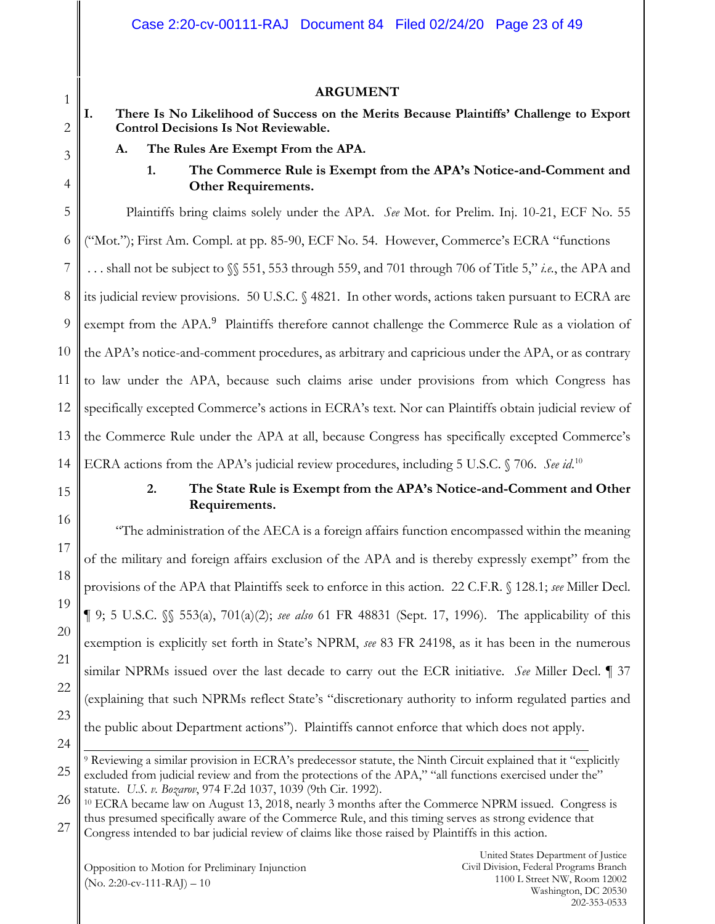#### **ARGUMENT**

2 **I. There Is No Likelihood of Success on the Merits Because Plaintiffs' Challenge to Export Control Decisions Is Not Reviewable.**

**A. The Rules Are Exempt From the APA.**

1

#### **1. The Commerce Rule is Exempt from the APA's Notice-and-Comment and Other Requirements.**

Plaintiffs bring claims solely under the APA. *See* Mot. for Prelim. Inj. 10-21, ECF No. 55 ("Mot."); First Am. Compl. at pp. 85-90, ECF No. 54. However, Commerce's ECRA "functions . . . shall not be subject to §§ 551, 553 through 559, and 701 through 706 of Title 5," *i.e.*, the APA and its judicial review provisions. 50 U.S.C. § 4821. In other words, actions taken pursuant to ECRA are exempt from the APA.<sup>[9](#page-22-0)</sup> Plaintiffs therefore cannot challenge the Commerce Rule as a violation of the APA's notice-and-comment procedures, as arbitrary and capricious under the APA, or as contrary to law under the APA, because such claims arise under provisions from which Congress has specifically excepted Commerce's actions in ECRA's text. Nor can Plaintiffs obtain judicial review of the Commerce Rule under the APA at all, because Congress has specifically excepted Commerce's ECRA actions from the APA's judicial review procedures, including 5 U.S.C. § 706. *See id*. [10](#page-22-1)

#### **2. The State Rule is Exempt from the APA's Notice-and-Comment and Other Requirements.**

"The administration of the AECA is a foreign affairs function encompassed within the meaning of the military and foreign affairs exclusion of the APA and is thereby expressly exempt" from the provisions of the APA that Plaintiffs seek to enforce in this action. 22 C.F.R. § 128.1; *see* Miller Decl. ¶ 9; 5 U.S.C. §§ 553(a), 701(a)(2); *see also* 61 FR 48831 (Sept. 17, 1996). The applicability of this exemption is explicitly set forth in State's NPRM, *see* 83 FR 24198, as it has been in the numerous similar NPRMs issued over the last decade to carry out the ECR initiative. *See* Miller Decl. ¶ 37 (explaining that such NPRMs reflect State's "discretionary authority to inform regulated parties and the public about Department actions"). Plaintiffs cannot enforce that which does not apply.

<span id="page-22-0"></span>24

 $\overline{a}$ 

<span id="page-22-1"></span>27 <sup>10</sup> ECRA became law on August 13, 2018, nearly 3 months after the Commerce NPRM issued. Congress is thus presumed specifically aware of the Commerce Rule, and this timing serves as strong evidence that Congress intended to bar judicial review of claims like those raised by Plaintiffs in this action.

<sup>9</sup> Reviewing a similar provision in ECRA's predecessor statute, the Ninth Circuit explained that it "explicitly excluded from judicial review and from the protections of the APA," "all functions exercised under the" statute. *U.S. v. Bozarov*, 974 F.2d 1037, 1039 (9th Cir. 1992).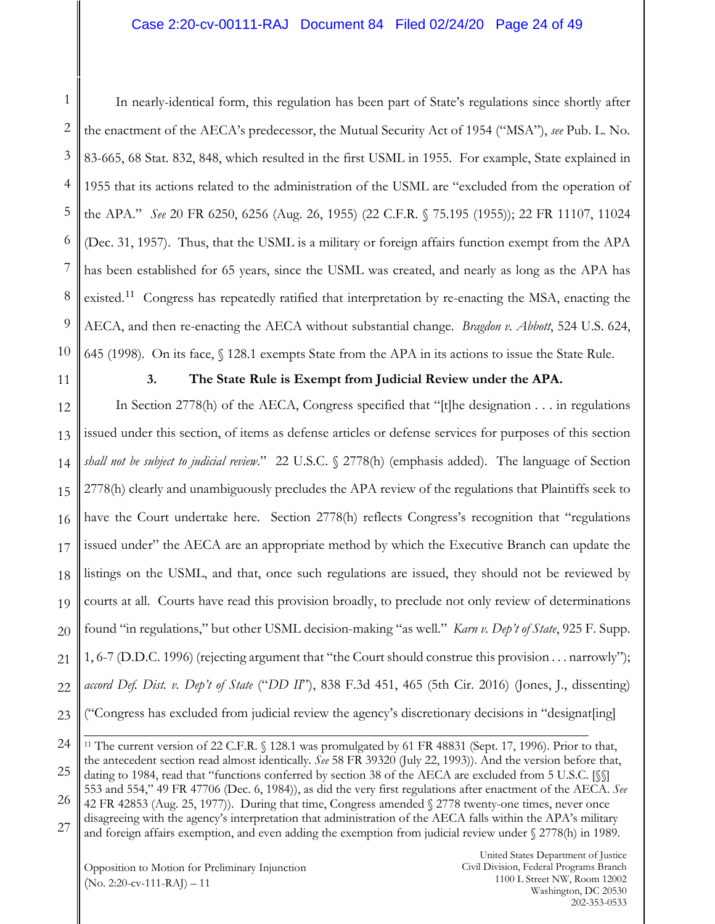#### Case 2:20-cv-00111-RAJ Document 84 Filed 02/24/20 Page 24 of 49

1 2 3 4 5 6 7 8 9 10 In nearly-identical form, this regulation has been part of State's regulations since shortly after the enactment of the AECA's predecessor, the Mutual Security Act of 1954 ("MSA"), *see* Pub. L. No. 83-665, 68 Stat. 832, 848, which resulted in the first USML in 1955. For example, State explained in 1955 that its actions related to the administration of the USML are "excluded from the operation of the APA." *See* 20 FR 6250, 6256 (Aug. 26, 1955) (22 C.F.R. § 75.195 (1955)); 22 FR 11107, 11024 (Dec. 31, 1957). Thus, that the USML is a military or foreign affairs function exempt from the APA has been established for 65 years, since the USML was created, and nearly as long as the APA has existed.<sup>[11](#page-23-0)</sup> Congress has repeatedly ratified that interpretation by re-enacting the MSA, enacting the AECA, and then re-enacting the AECA without substantial change. *Bragdon v. Abbott*, 524 U.S. 624, 645 (1998). On its face, § 128.1 exempts State from the APA in its actions to issue the State Rule.

11

## **3. The State Rule is Exempt from Judicial Review under the APA.**

12 13 14 15 16 17 18 19 20 21 22 23 In Section 2778(h) of the AECA, Congress specified that "[t]he designation . . . in regulations issued under this section, of items as defense articles or defense services for purposes of this section *shall not be subject to judicial review*." 22 U.S.C. § 2778(h) (emphasis added). The language of Section 2778(h) clearly and unambiguously precludes the APA review of the regulations that Plaintiffs seek to have the Court undertake here. Section 2778(h) reflects Congress's recognition that "regulations issued under" the AECA are an appropriate method by which the Executive Branch can update the listings on the USML, and that, once such regulations are issued, they should not be reviewed by courts at all. Courts have read this provision broadly, to preclude not only review of determinations found "in regulations," but other USML decision-making "as well." *Karn v. Dep't of State*, 925 F. Supp. 1, 6-7 (D.D.C. 1996) (rejecting argument that "the Court should construe this provision . . . narrowly"); *accord Def. Dist. v. Dep't of State* ("*DD II*"), 838 F.3d 451, 465 (5th Cir. 2016) (Jones, J., dissenting) ("Congress has excluded from judicial review the agency's discretionary decisions in "designat[ing]  $\overline{a}$ 

<span id="page-23-0"></span><sup>24</sup> 25 26 27 <sup>11</sup> The current version of 22 C.F.R. § 128.1 was promulgated by 61 FR 48831 (Sept. 17, 1996). Prior to that, the antecedent section read almost identically. *See* 58 FR 39320 (July 22, 1993)). And the version before that, dating to 1984, read that "functions conferred by section 38 of the AECA are excluded from 5 U.S.C. [§§] 553 and 554," 49 FR 47706 (Dec. 6, 1984)), as did the very first regulations after enactment of the AECA. *See*  42 FR 42853 (Aug. 25, 1977)). During that time, Congress amended § 2778 twenty-one times, never once disagreeing with the agency's interpretation that administration of the AECA falls within the APA's military and foreign affairs exemption, and even adding the exemption from judicial review under § 2778(h) in 1989.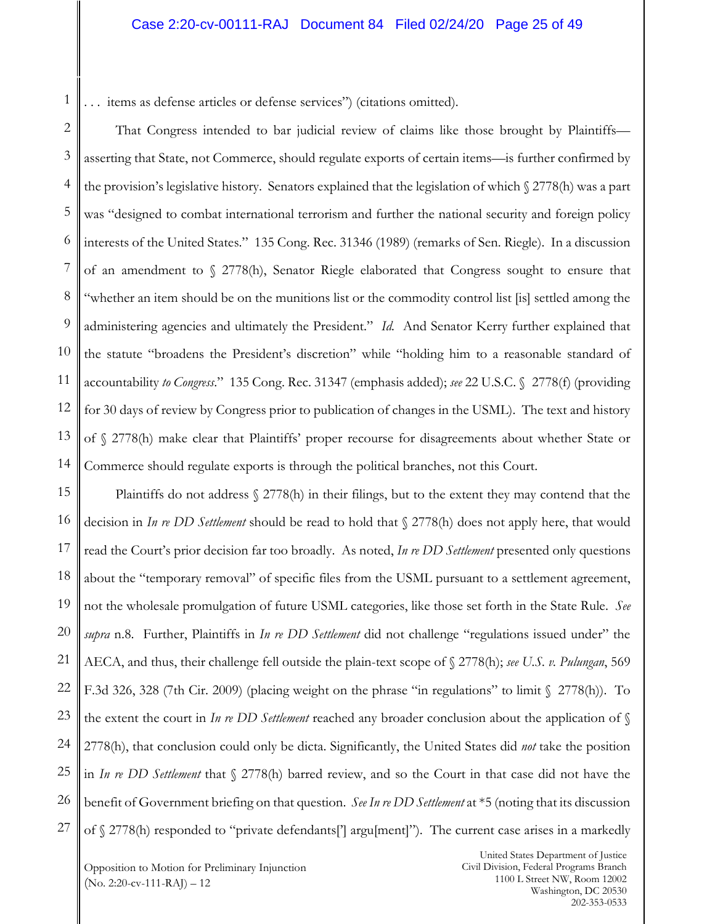. . . items as defense articles or defense services") (citations omitted).

1

2 3 4 5 6 7 8 9 10 11 12 13 14 That Congress intended to bar judicial review of claims like those brought by Plaintiffs asserting that State, not Commerce, should regulate exports of certain items—is further confirmed by the provision's legislative history. Senators explained that the legislation of which § 2778(h) was a part was "designed to combat international terrorism and further the national security and foreign policy interests of the United States." 135 Cong. Rec. 31346 (1989) (remarks of Sen. Riegle). In a discussion of an amendment to § 2778(h), Senator Riegle elaborated that Congress sought to ensure that "whether an item should be on the munitions list or the commodity control list [is] settled among the administering agencies and ultimately the President." *Id.* And Senator Kerry further explained that the statute "broadens the President's discretion" while "holding him to a reasonable standard of accountability *to Congress*." 135 Cong. Rec. 31347 (emphasis added); *see* 22 U.S.C. §\_2778(f) (providing for 30 days of review by Congress prior to publication of changes in the USML). The text and history of § 2778(h) make clear that Plaintiffs' proper recourse for disagreements about whether State or Commerce should regulate exports is through the political branches, not this Court.

15 16 17 18 19 20 21 22 23 24 25 26 27 Plaintiffs do not address § 2778(h) in their filings, but to the extent they may contend that the decision in *In re DD Settlement* should be read to hold that § 2778(h) does not apply here, that would read the Court's prior decision far too broadly. As noted, *In re DD Settlement* presented only questions about the "temporary removal" of specific files from the USML pursuant to a settlement agreement, not the wholesale promulgation of future USML categories, like those set forth in the State Rule. *See supra* n.8. Further, Plaintiffs in *In re DD Settlement* did not challenge "regulations issued under" the AECA, and thus, their challenge fell outside the plain-text scope of § 2778(h); *see U.S. v. Pulungan*, 569 F.3d 326, 328 (7th Cir. 2009) (placing weight on the phrase "in regulations" to limit §\_2778(h)). To the extent the court in *In re DD Settlement* reached any broader conclusion about the application of § 2778(h), that conclusion could only be dicta. Significantly, the United States did *not* take the position in *In re DD Settlement* that § 2778(h) barred review, and so the Court in that case did not have the benefit of Government briefing on that question. *See In re DD Settlement* at \*5 (noting that its discussion of § 2778(h) responded to "private defendants['] argu[ment]"). The current case arises in a markedly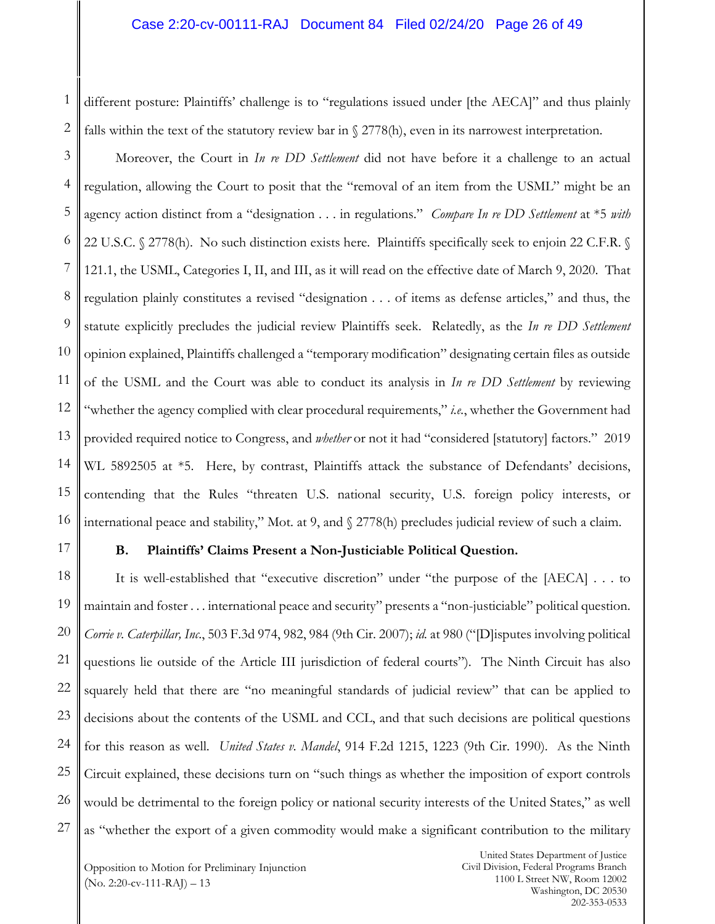2 different posture: Plaintiffs' challenge is to "regulations issued under [the AECA]" and thus plainly falls within the text of the statutory review bar in § 2778(h), even in its narrowest interpretation.

3 4 5 6 7 8 9 10 11 12 13 14 15 16 Moreover, the Court in *In re DD Settlement* did not have before it a challenge to an actual regulation, allowing the Court to posit that the "removal of an item from the USML" might be an agency action distinct from a "designation . . . in regulations." *Compare In re DD Settlement* at \*5 *with*  22 U.S.C. § 2778(h). No such distinction exists here. Plaintiffs specifically seek to enjoin 22 C.F.R. § 121.1, the USML, Categories I, II, and III, as it will read on the effective date of March 9, 2020. That regulation plainly constitutes a revised "designation . . . of items as defense articles," and thus, the statute explicitly precludes the judicial review Plaintiffs seek. Relatedly, as the *In re DD Settlement*  opinion explained, Plaintiffs challenged a "temporary modification" designating certain files as outside of the USML and the Court was able to conduct its analysis in *In re DD Settlement* by reviewing "whether the agency complied with clear procedural requirements," *i.e.*, whether the Government had provided required notice to Congress, and *whether* or not it had "considered [statutory] factors." 2019 WL 5892505 at  $*5$ . Here, by contrast, Plaintiffs attack the substance of Defendants' decisions, contending that the Rules "threaten U.S. national security, U.S. foreign policy interests, or international peace and stability," Mot. at 9, and § 2778(h) precludes judicial review of such a claim.

#### **B. Plaintiffs' Claims Present a Non-Justiciable Political Question.**

18 19 20 21 22 23 24 25 26 27 It is well-established that "executive discretion" under "the purpose of the [AECA] . . . to maintain and foster . . . international peace and security" presents a "non-justiciable" political question. *Corrie v. Caterpillar, Inc*., 503 F.3d 974, 982, 984 (9th Cir. 2007); *id.* at 980 ("[D]isputes involving political questions lie outside of the Article III jurisdiction of federal courts"). The Ninth Circuit has also squarely held that there are "no meaningful standards of judicial review" that can be applied to decisions about the contents of the USML and CCL, and that such decisions are political questions for this reason as well. *United States v. Mandel*, 914 F.2d 1215, 1223 (9th Cir. 1990). As the Ninth Circuit explained, these decisions turn on "such things as whether the imposition of export controls would be detrimental to the foreign policy or national security interests of the United States," as well as "whether the export of a given commodity would make a significant contribution to the military

1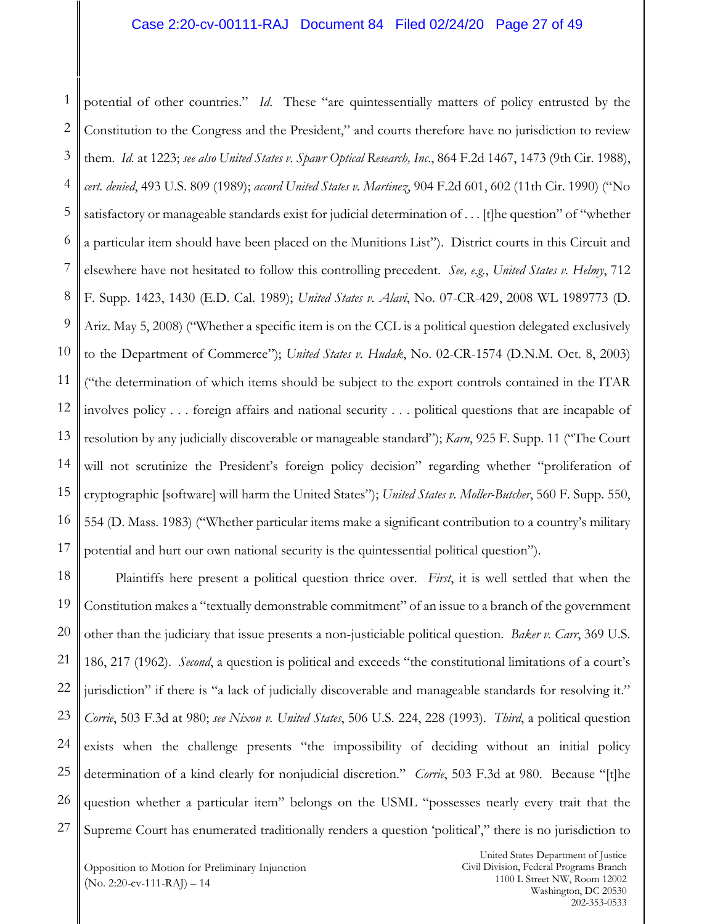1 2 3 4 5 6 7 8 9 10 11 12 13 14 15 16 17 potential of other countries." *Id*. These "are quintessentially matters of policy entrusted by the Constitution to the Congress and the President," and courts therefore have no jurisdiction to review them. *Id.* at 1223; *see also United States v. Spawr Optical Research, Inc*., 864 F.2d 1467, 1473 (9th Cir. 1988), *cert. denied*, 493 U.S. 809 (1989); *accord United States v. Martinez*, 904 F.2d 601, 602 (11th Cir. 1990) ("No satisfactory or manageable standards exist for judicial determination of . . . [t]he question" of "whether a particular item should have been placed on the Munitions List"). District courts in this Circuit and elsewhere have not hesitated to follow this controlling precedent. *See, e.g.*, *United States v. Helmy*, 712 F. Supp. 1423, 1430 (E.D. Cal. 1989); *United States v. Alavi*, No. 07-CR-429, 2008 WL 1989773 (D. Ariz. May 5, 2008) ("Whether a specific item is on the CCL is a political question delegated exclusively to the Department of Commerce"); *United States v. Hudak*, No. 02-CR-1574 (D.N.M. Oct. 8, 2003) ("the determination of which items should be subject to the export controls contained in the ITAR involves policy . . . foreign affairs and national security . . . political questions that are incapable of resolution by any judicially discoverable or manageable standard"); *Karn*, 925 F. Supp. 11 ("The Court will not scrutinize the President's foreign policy decision" regarding whether "proliferation of cryptographic [software] will harm the United States"); *United States v. Moller-Butcher*, 560 F. Supp. 550, 554 (D. Mass. 1983) ("Whether particular items make a significant contribution to a country's military potential and hurt our own national security is the quintessential political question").

18 19 20 21 22 23 24 25 26 27 Plaintiffs here present a political question thrice over. *First*, it is well settled that when the Constitution makes a "textually demonstrable commitment" of an issue to a branch of the government other than the judiciary that issue presents a non-justiciable political question. *Baker v. Carr*, 369 U.S. 186, 217 (1962). *Second*, a question is political and exceeds "the constitutional limitations of a court's jurisdiction" if there is "a lack of judicially discoverable and manageable standards for resolving it." *Corrie*, 503 F.3d at 980; *see Nixon v. United States*, 506 U.S. 224, 228 (1993). *Third*, a political question exists when the challenge presents "the impossibility of deciding without an initial policy determination of a kind clearly for nonjudicial discretion." *Corrie*, 503 F.3d at 980. Because "[t]he question whether a particular item" belongs on the USML "possesses nearly every trait that the Supreme Court has enumerated traditionally renders a question 'political'," there is no jurisdiction to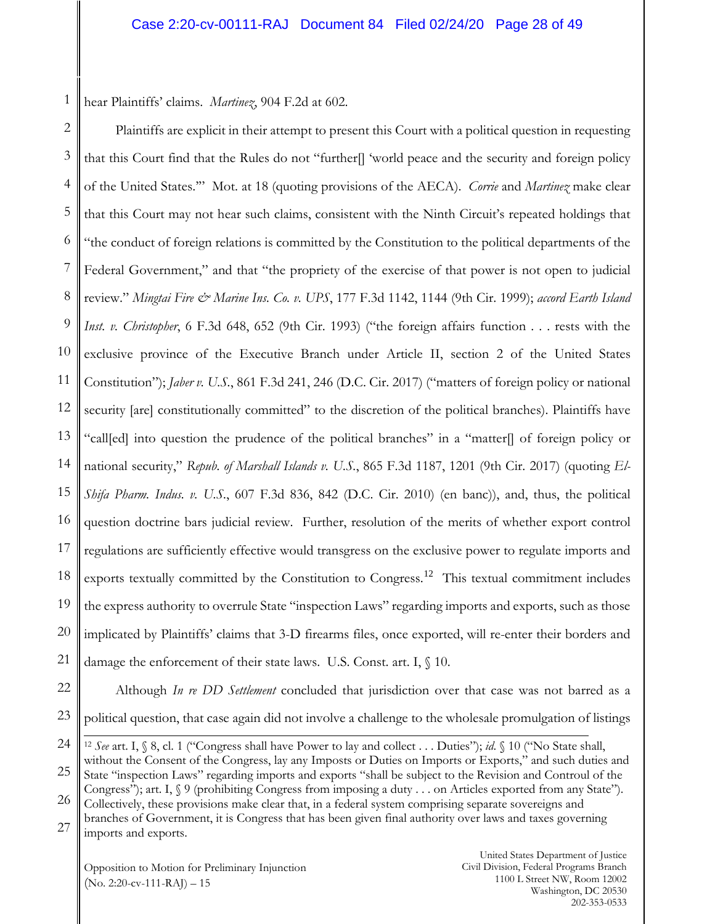1 hear Plaintiffs' claims. *Martinez*, 904 F.2d at 602.

2 3 4 5 6 7 8 9 10 11 12 13 14 15 16 17 18 19 20 21 Plaintiffs are explicit in their attempt to present this Court with a political question in requesting that this Court find that the Rules do not "further[] 'world peace and the security and foreign policy of the United States.'" Mot. at 18 (quoting provisions of the AECA). *Corrie* and *Martinez* make clear that this Court may not hear such claims, consistent with the Ninth Circuit's repeated holdings that "the conduct of foreign relations is committed by the Constitution to the political departments of the Federal Government," and that "the propriety of the exercise of that power is not open to judicial review." *Mingtai Fire & Marine Ins. Co. v. UPS*, 177 F.3d 1142, 1144 (9th Cir. 1999); *accord Earth Island Inst. v. Christopher*, 6 F.3d 648, 652 (9th Cir. 1993) ("the foreign affairs function . . . rests with the exclusive province of the Executive Branch under Article II, section 2 of the United States Constitution"); *Jaber v. U.S.*, 861 F.3d 241, 246 (D.C. Cir. 2017) ("matters of foreign policy or national security [are] constitutionally committed" to the discretion of the political branches). Plaintiffs have "call[ed] into question the prudence of the political branches" in a "matter[] of foreign policy or national security," *Repub. of Marshall Islands v. U.S.*, 865 F.3d 1187, 1201 (9th Cir. 2017) (quoting *El-Shifa Pharm. Indus. v. U.S.*, 607 F.3d 836, 842 (D.C. Cir. 2010) (en banc)), and, thus, the political question doctrine bars judicial review. Further, resolution of the merits of whether export control regulations are sufficiently effective would transgress on the exclusive power to regulate imports and exports textually committed by the Constitution to Congress.<sup>[12](#page-27-0)</sup> This textual commitment includes the express authority to overrule State "inspection Laws" regarding imports and exports, such as those implicated by Plaintiffs' claims that 3-D firearms files, once exported, will re-enter their borders and damage the enforcement of their state laws. U.S. Const. art. I, § 10.

22

23 Although *In re DD Settlement* concluded that jurisdiction over that case was not barred as a political question, that case again did not involve a challenge to the wholesale promulgation of listings

<span id="page-27-0"></span>24 25 26 27 <sup>12</sup> *See* art. I, § 8, cl. 1 ("Congress shall have Power to lay and collect . . . Duties"); *id*. § 10 ("No State shall, without the Consent of the Congress, lay any Imposts or Duties on Imports or Exports," and such duties and State "inspection Laws" regarding imports and exports "shall be subject to the Revision and Controul of the Congress"); art. I, § 9 (prohibiting Congress from imposing a duty . . . on Articles exported from any State"). Collectively, these provisions make clear that, in a federal system comprising separate sovereigns and branches of Government, it is Congress that has been given final authority over laws and taxes governing imports and exports.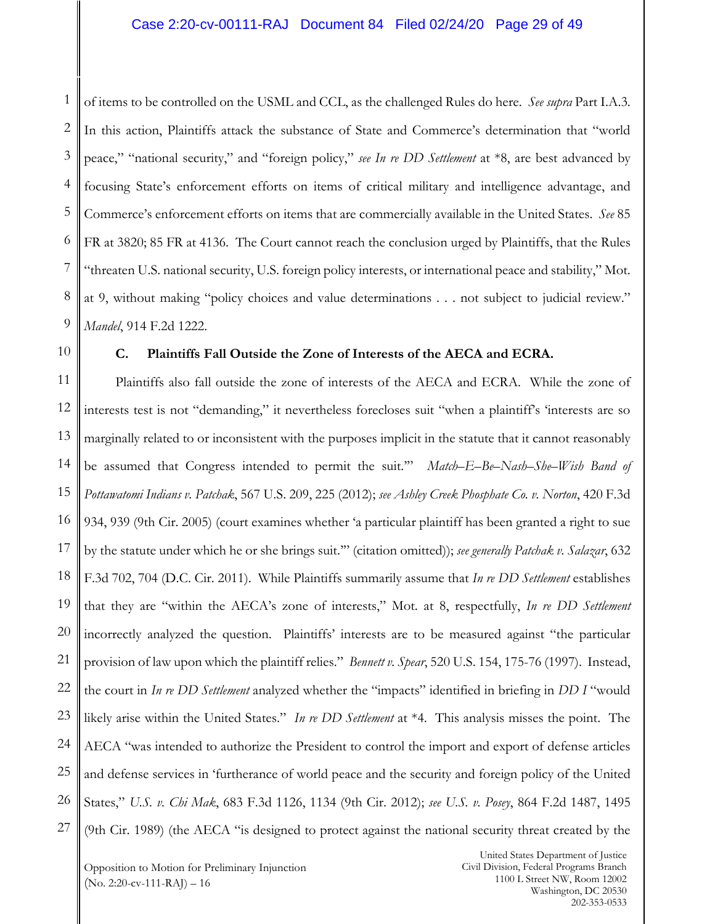1 2 3 4 5 6 7 8 9 of items to be controlled on the USML and CCL, as the challenged Rules do here. *See supra* Part I.A.3. In this action, Plaintiffs attack the substance of State and Commerce's determination that "world peace," "national security," and "foreign policy," *see In re DD Settlement* at \*8, are best advanced by focusing State's enforcement efforts on items of critical military and intelligence advantage, and Commerce's enforcement efforts on items that are commercially available in the United States. *See* 85 FR at 3820; 85 FR at 4136. The Court cannot reach the conclusion urged by Plaintiffs, that the Rules "threaten U.S. national security, U.S. foreign policy interests, or international peace and stability," Mot. at 9, without making "policy choices and value determinations . . . not subject to judicial review." *Mandel*, 914 F.2d 1222.

10

#### **C. Plaintiffs Fall Outside the Zone of Interests of the AECA and ECRA.**

11 12 13 14 15 16 17 18 19 20 21 22 23 24 25 26 27 Plaintiffs also fall outside the zone of interests of the AECA and ECRA. While the zone of interests test is not "demanding," it nevertheless forecloses suit "when a plaintiff's 'interests are so marginally related to or inconsistent with the purposes implicit in the statute that it cannot reasonably be assumed that Congress intended to permit the suit.'" *Match–E–Be–Nash–She–Wish Band of Pottawatomi Indians v. Patchak*, 567 U.S. 209, 225 (2012); *see Ashley Creek Phosphate Co. v. Norton*, 420 F.3d 934, 939 (9th Cir. 2005) (court examines whether 'a particular plaintiff has been granted a right to sue by the statute under which he or she brings suit.'" (citation omitted)); *see generally Patchak v. Salazar*, 632 F.3d 702, 704 (D.C. Cir. 2011). While Plaintiffs summarily assume that *In re DD Settlement* establishes that they are "within the AECA's zone of interests," Mot. at 8, respectfully, *In re DD Settlement* incorrectly analyzed the question. Plaintiffs' interests are to be measured against "the particular provision of law upon which the plaintiff relies." *Bennett v. Spear*, 520 U.S. 154, 175-76 (1997). Instead, the court in *In re DD Settlement* analyzed whether the "impacts" identified in briefing in *DD I* "would likely arise within the United States." *In re DD Settlement* at \*4. This analysis misses the point. The AECA "was intended to authorize the President to control the import and export of defense articles and defense services in 'furtherance of world peace and the security and foreign policy of the United States," *U.S. v. Chi Mak*, 683 F.3d 1126, 1134 (9th Cir. 2012); *see U.S. v. Posey*, 864 F.2d 1487, 1495 (9th Cir. 1989) (the AECA "is designed to protect against the national security threat created by the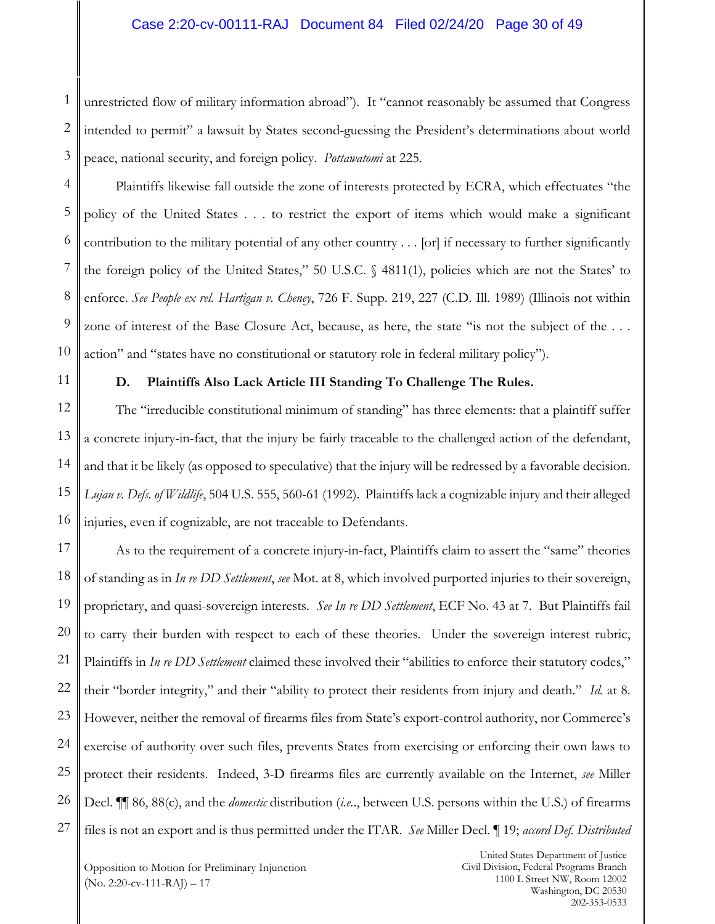1 2 3 unrestricted flow of military information abroad"). It "cannot reasonably be assumed that Congress intended to permit" a lawsuit by States second-guessing the President's determinations about world peace, national security, and foreign policy. *Pottawatomi* at 225.

4 5 6 7 8 9 10 Plaintiffs likewise fall outside the zone of interests protected by ECRA, which effectuates "the policy of the United States . . . to restrict the export of items which would make a significant contribution to the military potential of any other country . . . [or] if necessary to further significantly the foreign policy of the United States," 50 U.S.C. § 4811(1), policies which are not the States' to enforce. *See People ex rel. Hartigan v. Cheney*, 726 F. Supp. 219, 227 (C.D. Ill. 1989) (Illinois not within zone of interest of the Base Closure Act, because, as here, the state "is not the subject of the ... action" and "states have no constitutional or statutory role in federal military policy").

11

# **D. Plaintiffs Also Lack Article III Standing To Challenge The Rules.**

12 13 14 15 16 The "irreducible constitutional minimum of standing" has three elements: that a plaintiff suffer a concrete injury-in-fact, that the injury be fairly traceable to the challenged action of the defendant, and that it be likely (as opposed to speculative) that the injury will be redressed by a favorable decision. *Lujan v. Defs. of Wildlife*, 504 U.S. 555, 560-61 (1992). Plaintiffs lack a cognizable injury and their alleged injuries, even if cognizable, are not traceable to Defendants.

17 18 19 20 21 22 23 24 25 26 27 As to the requirement of a concrete injury-in-fact, Plaintiffs claim to assert the "same" theories of standing as in *In re DD Settlement*, *see* Mot. at 8, which involved purported injuries to their sovereign, proprietary, and quasi-sovereign interests. *See In re DD Settlement*, ECF No. 43 at 7. But Plaintiffs fail to carry their burden with respect to each of these theories. Under the sovereign interest rubric, Plaintiffs in *In re DD Settlement* claimed these involved their "abilities to enforce their statutory codes," their "border integrity," and their "ability to protect their residents from injury and death." *Id.* at 8. However, neither the removal of firearms files from State's export-control authority, nor Commerce's exercise of authority over such files, prevents States from exercising or enforcing their own laws to protect their residents. Indeed, 3-D firearms files are currently available on the Internet, *see* Miller Decl. ¶¶ 86, 88(c), and the *domestic* distribution (*i.e.*., between U.S. persons within the U.S.) of firearms files is not an export and is thus permitted under the ITAR. *See* Miller Decl. ¶ 19; *accord Def. Distributed*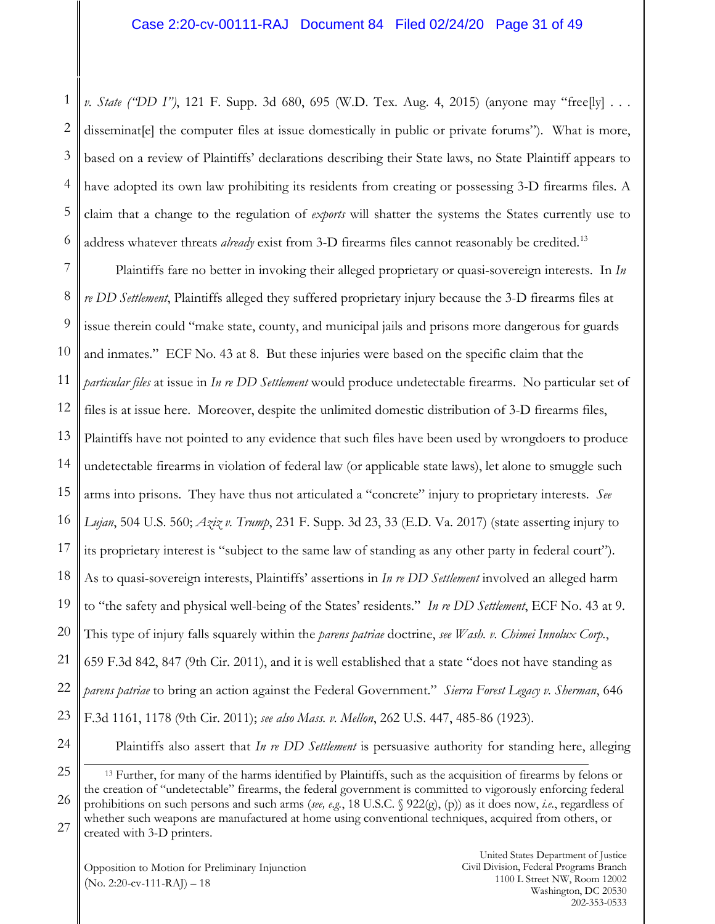1 2 3 4 5 6 *v. State ("DD I")*, 121 F. Supp. 3d 680, 695 (W.D. Tex. Aug. 4, 2015) (anyone may "free[ly] . . . disseminatel the computer files at issue domestically in public or private forums"). What is more, based on a review of Plaintiffs' declarations describing their State laws, no State Plaintiff appears to have adopted its own law prohibiting its residents from creating or possessing 3-D firearms files. A claim that a change to the regulation of *exports* will shatter the systems the States currently use to address whatever threats *already* exist from 3-D firearms files cannot reasonably be credited. [13](#page-30-0)

7 8 9 10 11 12 13 14 15 16 17 18 19 20 21 22 23 Plaintiffs fare no better in invoking their alleged proprietary or quasi-sovereign interests. In *In re DD Settlement*, Plaintiffs alleged they suffered proprietary injury because the 3-D firearms files at issue therein could "make state, county, and municipal jails and prisons more dangerous for guards and inmates." ECF No. 43 at 8. But these injuries were based on the specific claim that the *particular files* at issue in *In re DD Settlement* would produce undetectable firearms. No particular set of files is at issue here. Moreover, despite the unlimited domestic distribution of 3-D firearms files, Plaintiffs have not pointed to any evidence that such files have been used by wrongdoers to produce undetectable firearms in violation of federal law (or applicable state laws), let alone to smuggle such arms into prisons. They have thus not articulated a "concrete" injury to proprietary interests. *See Lujan*, 504 U.S. 560; *Aziz v. Trump*, 231 F. Supp. 3d 23, 33 (E.D. Va. 2017) (state asserting injury to its proprietary interest is "subject to the same law of standing as any other party in federal court"). As to quasi-sovereign interests, Plaintiffs' assertions in *In re DD Settlement* involved an alleged harm to "the safety and physical well-being of the States' residents." *In re DD Settlement*, ECF No. 43 at 9. This type of injury falls squarely within the *parens patriae* doctrine, *see Wash. v. Chimei Innolux Corp.*, 659 F.3d 842, 847 (9th Cir. 2011), and it is well established that a state "does not have standing as *parens patriae* to bring an action against the Federal Government." *Sierra Forest Legacy v. Sherman*, 646 F.3d 1161, 1178 (9th Cir. 2011); *see also Mass. v. Mellon*, 262 U.S. 447, 485-86 (1923).

Plaintiffs also assert that *In re DD Settlement* is persuasive authority for standing here, alleging

<span id="page-30-0"></span><sup>25</sup> 26 27  $\overline{a}$ <sup>13</sup> Further, for many of the harms identified by Plaintiffs, such as the acquisition of firearms by felons or the creation of "undetectable" firearms, the federal government is committed to vigorously enforcing federal prohibitions on such persons and such arms (*see, e.g.*, 18 U.S.C. § 922(g), (p)) as it does now, *i.e.*, regardless of whether such weapons are manufactured at home using conventional techniques, acquired from others, or created with 3-D printers.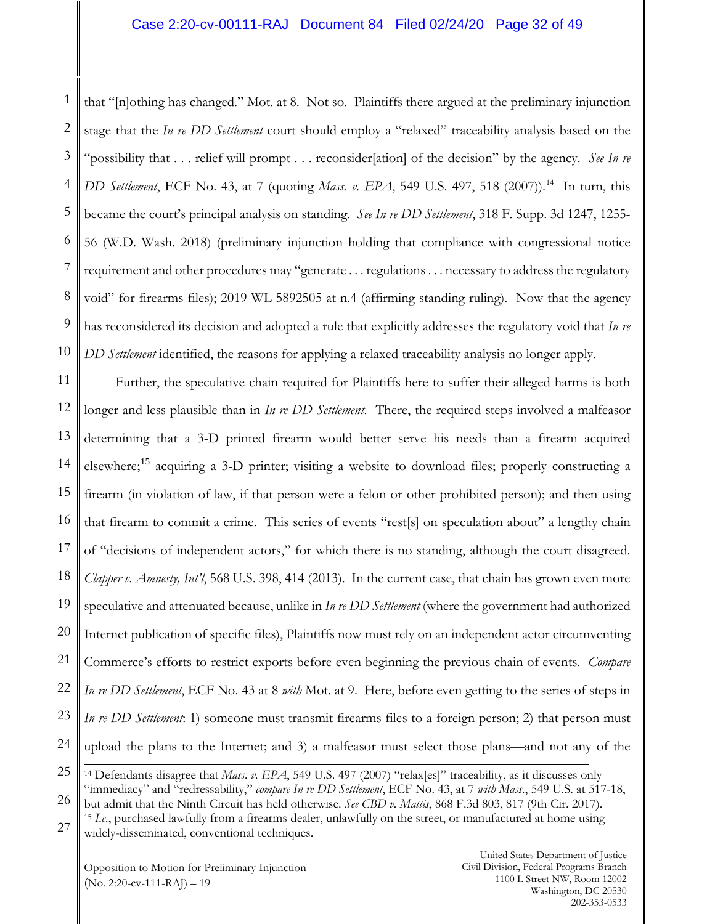#### Case 2:20-cv-00111-RAJ Document 84 Filed 02/24/20 Page 32 of 49

1 2 3 4 5 6 7 8 9 10 that "[n]othing has changed." Mot. at 8. Not so. Plaintiffs there argued at the preliminary injunction stage that the *In re DD Settlement* court should employ a "relaxed" traceability analysis based on the "possibility that . . . relief will prompt . . . reconsider[ation] of the decision" by the agency. *See In re DD Settlement*, ECF No. 43, at 7 (quoting *Mass. v. EPA*, 549 U.S. 497, 518 (2007)).<sup>[14](#page-31-0)</sup> In turn, this became the court's principal analysis on standing. *See In re DD Settlement*, 318 F. Supp. 3d 1247, 1255- 56 (W.D. Wash. 2018) (preliminary injunction holding that compliance with congressional notice requirement and other procedures may "generate . . . regulations . . . necessary to address the regulatory void" for firearms files); 2019 WL 5892505 at n.4 (affirming standing ruling). Now that the agency has reconsidered its decision and adopted a rule that explicitly addresses the regulatory void that *In re DD Settlement* identified, the reasons for applying a relaxed traceability analysis no longer apply.

11 12 13 14 15 16 17 18 19 20 21 22 23 24 Further, the speculative chain required for Plaintiffs here to suffer their alleged harms is both longer and less plausible than in *In re DD Settlement*. There, the required steps involved a malfeasor determining that a 3-D printed firearm would better serve his needs than a firearm acquired elsewhere;<sup>[15](#page-31-1)</sup> acquiring a 3-D printer; visiting a website to download files; properly constructing a firearm (in violation of law, if that person were a felon or other prohibited person); and then using that firearm to commit a crime. This series of events "rest[s] on speculation about" a lengthy chain of "decisions of independent actors," for which there is no standing, although the court disagreed. *Clapper v. Amnesty, Int'l*, 568 U.S. 398, 414 (2013). In the current case, that chain has grown even more speculative and attenuated because, unlike in *In re DD Settlement* (where the government had authorized Internet publication of specific files), Plaintiffs now must rely on an independent actor circumventing Commerce's efforts to restrict exports before even beginning the previous chain of events. *Compare In re DD Settlement*, ECF No. 43 at 8 *with* Mot. at 9. Here, before even getting to the series of steps in *In re DD Settlement*: 1) someone must transmit firearms files to a foreign person; 2) that person must upload the plans to the Internet; and 3) a malfeasor must select those plans—and not any of the

<span id="page-31-1"></span><span id="page-31-0"></span><sup>25</sup> 26 27  $\overline{a}$ <sup>14</sup> Defendants disagree that *Mass. v. EPA*, 549 U.S. 497 (2007) "relax[es]" traceability, as it discusses only "immediacy" and "redressability," *compare In re DD Settlement*, ECF No. 43, at 7 *with Mass.*, 549 U.S. at 517-18, but admit that the Ninth Circuit has held otherwise. *See CBD v. Mattis*, 868 F.3d 803, 817 (9th Cir. 2017). <sup>15</sup> *I.e.*, purchased lawfully from a firearms dealer, unlawfully on the street, or manufactured at home using widely-disseminated, conventional techniques.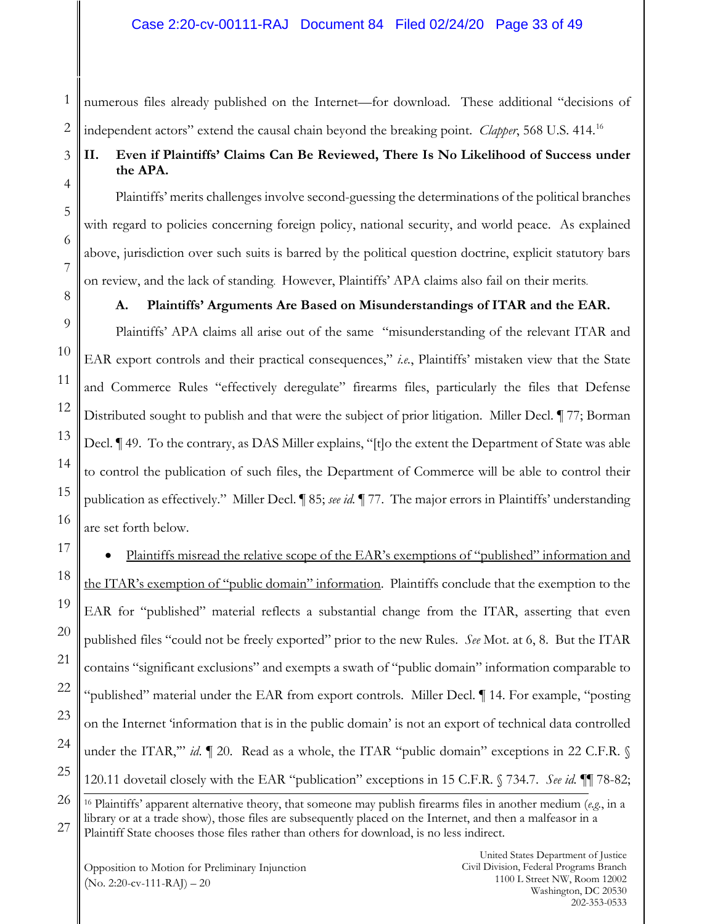numerous files already published on the Internet—for download. These additional "decisions of independent actors" extend the causal chain beyond the breaking point. *Clapper*, 568 U.S. 414[.16](#page-32-0)

# **II. Even if Plaintiffs' Claims Can Be Reviewed, There Is No Likelihood of Success under the APA.**

Plaintiffs' merits challenges involve second-guessing the determinations of the political branches with regard to policies concerning foreign policy, national security, and world peace. As explained above, jurisdiction over such suits is barred by the political question doctrine, explicit statutory bars on review, and the lack of standing. However, Plaintiffs' APA claims also fail on their merits.

#### **A. Plaintiffs' Arguments Are Based on Misunderstandings of ITAR and the EAR.**

Plaintiffs' APA claims all arise out of the same "misunderstanding of the relevant ITAR and EAR export controls and their practical consequences," *i.e.*, Plaintiffs' mistaken view that the State and Commerce Rules "effectively deregulate" firearms files, particularly the files that Defense Distributed sought to publish and that were the subject of prior litigation. Miller Decl. ¶ 77; Borman Decl. ¶ 49. To the contrary, as DAS Miller explains, "[t]o the extent the Department of State was able to control the publication of such files, the Department of Commerce will be able to control their publication as effectively." Miller Decl. ¶ 85; *see id.* ¶ 77. The major errors in Plaintiffs' understanding are set forth below.

• Plaintiffs misread the relative scope of the EAR's exemptions of "published" information and the ITAR's exemption of "public domain" information. Plaintiffs conclude that the exemption to the EAR for "published" material reflects a substantial change from the ITAR, asserting that even published files "could not be freely exported" prior to the new Rules. *See* Mot. at 6, 8. But the ITAR contains "significant exclusions" and exempts a swath of "public domain" information comparable to "published" material under the EAR from export controls. Miller Decl. ¶ 14. For example, "posting on the Internet 'information that is in the public domain' is not an export of technical data controlled under the ITAR,"" *id*.  $\llbracket$  20. Read as a whole, the ITAR "public domain" exceptions in 22 C.F.R.  $\llbracket$ 120.11 dovetail closely with the EAR "publication" exceptions in 15 C.F.R. § 734.7. See id.  $\P$  78-82;<br><sup>16</sup> Plaintiffs' apparent alternative theory, that someone may publish firearms files in another medium (e.g., in a

<span id="page-32-0"></span>library or at a trade show), those files are subsequently placed on the Internet, and then a malfeasor in a Plaintiff State chooses those files rather than others for download, is no less indirect.

1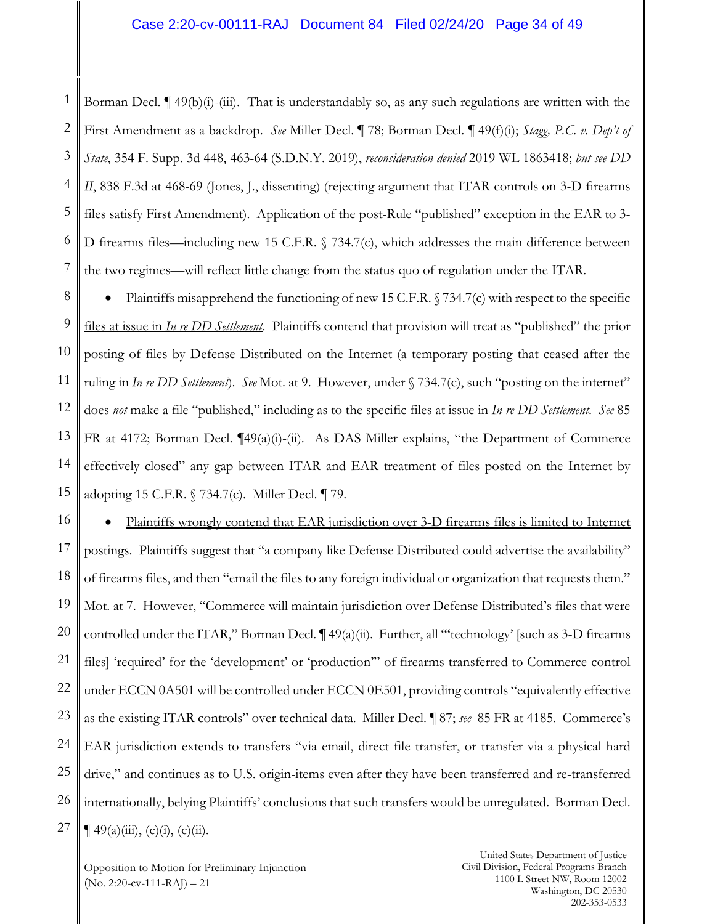#### Case 2:20-cv-00111-RAJ Document 84 Filed 02/24/20 Page 34 of 49

1 2 3 4 5 6 7 Borman Decl. ¶ 49(b)(i)-(iii). That is understandably so, as any such regulations are written with the First Amendment as a backdrop. *See* Miller Decl. ¶ 78; Borman Decl. ¶ 49(f)(i); *Stagg, P.C. v. Dep't of State*, 354 F. Supp. 3d 448, 463-64 (S.D.N.Y. 2019), *reconsideration denied* 2019 WL 1863418; *but see DD II*, 838 F.3d at 468-69 (Jones, J., dissenting) (rejecting argument that ITAR controls on 3-D firearms files satisfy First Amendment). Application of the post-Rule "published" exception in the EAR to 3- D firearms files—including new 15 C.F.R. § 734.7(c), which addresses the main difference between the two regimes—will reflect little change from the status quo of regulation under the ITAR.

8 9 10 11 12 13 14 15 • Plaintiffs misapprehend the functioning of new 15 C.F.R. § 734.7(c) with respect to the specific files at issue in *In re DD Settlement*. Plaintiffs contend that provision will treat as "published" the prior posting of files by Defense Distributed on the Internet (a temporary posting that ceased after the ruling in *In re DD Settlement*). *See* Mot. at 9. However, under § 734.7(c), such "posting on the internet" does *not* make a file "published," including as to the specific files at issue in *In re DD Settlement*. *See* 85 FR at 4172; Borman Decl. ¶49(a)(i)-(ii). As DAS Miller explains, "the Department of Commerce effectively closed" any gap between ITAR and EAR treatment of files posted on the Internet by adopting 15 C.F.R. § 734.7(c). Miller Decl. ¶ 79.

16 17 18 19 20 21 22 23 24 25 26 27 • Plaintiffs wrongly contend that EAR jurisdiction over 3-D firearms files is limited to Internet postings. Plaintiffs suggest that "a company like Defense Distributed could advertise the availability" of firearms files, and then "email the files to any foreign individual or organization that requests them." Mot. at 7. However, "Commerce will maintain jurisdiction over Defense Distributed's files that were controlled under the ITAR," Borman Decl. ¶ 49(a)(ii). Further, all "'technology' [such as 3-D firearms files] 'required' for the 'development' or 'production'" of firearms transferred to Commerce control under ECCN 0A501 will be controlled under ECCN 0E501, providing controls "equivalently effective as the existing ITAR controls" over technical data. Miller Decl. ¶ 87; *see* 85 FR at 4185. Commerce's EAR jurisdiction extends to transfers "via email, direct file transfer, or transfer via a physical hard drive," and continues as to U.S. origin-items even after they have been transferred and re-transferred internationally, belying Plaintiffs' conclusions that such transfers would be unregulated. Borman Decl.  $\P$  49(a)(iii), (c)(i), (c)(ii).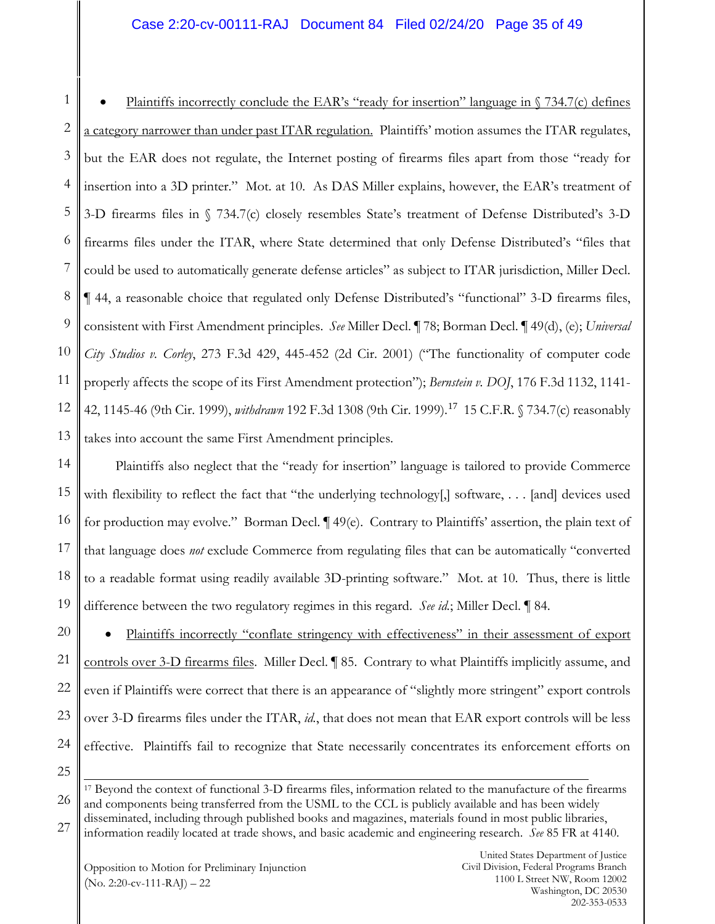#### Case 2:20-cv-00111-RAJ Document 84 Filed 02/24/20 Page 35 of 49

1 2 3 4 5 6 7 8 9 10 11 12 13 Plaintiffs incorrectly conclude the EAR's "ready for insertion" language in  $\sqrt{734.7(c)}$  defines a category narrower than under past ITAR regulation. Plaintiffs' motion assumes the ITAR regulates, but the EAR does not regulate, the Internet posting of firearms files apart from those "ready for insertion into a 3D printer." Mot. at 10. As DAS Miller explains, however, the EAR's treatment of 3-D firearms files in § 734.7(c) closely resembles State's treatment of Defense Distributed's 3-D firearms files under the ITAR, where State determined that only Defense Distributed's "files that could be used to automatically generate defense articles" as subject to ITAR jurisdiction, Miller Decl. ¶ 44, a reasonable choice that regulated only Defense Distributed's "functional" 3-D firearms files, consistent with First Amendment principles. *See* Miller Decl. ¶ 78; Borman Decl. ¶ 49(d), (e); *Universal City Studios v. Corley*, 273 F.3d 429, 445-452 (2d Cir. 2001) ("The functionality of computer code properly affects the scope of its First Amendment protection"); *Bernstein v. DOJ*, 176 F.3d 1132, 1141- 42, 1145-46 (9th Cir. 1999), *withdrawn* 192 F.3d 1308 (9th Cir. 1999).[17](#page-34-0) 15 C.F.R. § 734.7(c) reasonably takes into account the same First Amendment principles.

14 15 16 17 18 19 Plaintiffs also neglect that the "ready for insertion" language is tailored to provide Commerce with flexibility to reflect the fact that "the underlying technology[,] software, . . . [and] devices used for production may evolve." Borman Decl. ¶ 49(e). Contrary to Plaintiffs' assertion, the plain text of that language does *not* exclude Commerce from regulating files that can be automatically "converted to a readable format using readily available 3D-printing software." Mot. at 10. Thus, there is little difference between the two regulatory regimes in this regard. *See id.*; Miller Decl. ¶ 84.

20 21 22 23 24 25 Plaintiffs incorrectly "conflate stringency with effectiveness" in their assessment of export controls over 3-D firearms files. Miller Decl. ¶ 85. Contrary to what Plaintiffs implicitly assume, and even if Plaintiffs were correct that there is an appearance of "slightly more stringent" export controls over 3-D firearms files under the ITAR, *id.*, that does not mean that EAR export controls will be less effective. Plaintiffs fail to recognize that State necessarily concentrates its enforcement efforts on

<span id="page-34-0"></span>26  $\overline{a}$ <sup>17</sup> Beyond the context of functional 3-D firearms files, information related to the manufacture of the firearms and components being transferred from the USML to the CCL is publicly available and has been widely disseminated, including through published books and magazines, materials found in most public libraries, information readily located at trade shows, and basic academic and engineering research. *See* 85 FR at 4140.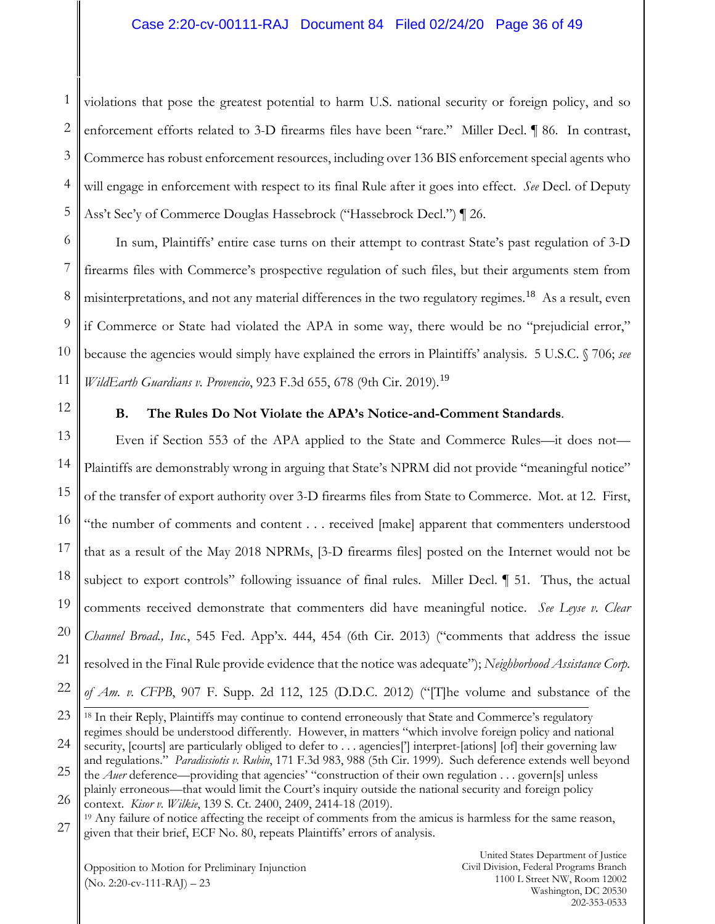#### Case 2:20-cv-00111-RAJ Document 84 Filed 02/24/20 Page 36 of 49

1 2 3 4 5 violations that pose the greatest potential to harm U.S. national security or foreign policy, and so enforcement efforts related to 3-D firearms files have been "rare." Miller Decl. ¶ 86. In contrast, Commerce has robust enforcement resources, including over 136 BIS enforcement special agents who will engage in enforcement with respect to its final Rule after it goes into effect. *See* Decl. of Deputy Ass't Sec'y of Commerce Douglas Hassebrock ("Hassebrock Decl.") ¶ 26.

6 7 8 9 10 11 In sum, Plaintiffs' entire case turns on their attempt to contrast State's past regulation of 3-D firearms files with Commerce's prospective regulation of such files, but their arguments stem from misinterpretations, and not any material differences in the two regulatory regimes.<sup>[18](#page-35-0)</sup> As a result, even if Commerce or State had violated the APA in some way, there would be no "prejudicial error," because the agencies would simply have explained the errors in Plaintiffs' analysis. 5 U.S.C. § 706; *see WildEarth Guardians v. Provencio*, 923 F.3d 655, 678 (9th Cir. 2019).[19](#page-35-1)

12

#### **B. The Rules Do Not Violate the APA's Notice-and-Comment Standards**.

13 14 15 16 17 18 19 20 21 22 Even if Section 553 of the APA applied to the State and Commerce Rules—it does not— Plaintiffs are demonstrably wrong in arguing that State's NPRM did not provide "meaningful notice" of the transfer of export authority over 3-D firearms files from State to Commerce. Mot. at 12. First, "the number of comments and content . . . received [make] apparent that commenters understood that as a result of the May 2018 NPRMs, [3-D firearms files] posted on the Internet would not be subject to export controls" following issuance of final rules. Miller Decl. ¶ 51. Thus, the actual comments received demonstrate that commenters did have meaningful notice. *See Leyse v. Clear Channel Broad., Inc.*, 545 Fed. App'x. 444, 454 (6th Cir. 2013) ("comments that address the issue resolved in the Final Rule provide evidence that the notice was adequate"); *Neighborhood Assistance Corp.*

26 context. *Kisor v. Wilkie*, 139 S. Ct. 2400, 2409, 2414-18 (2019).

<span id="page-35-1"></span>27 <sup>19</sup> Any failure of notice affecting the receipt of comments from the amicus is harmless for the same reason, given that their brief, ECF No. 80, repeats Plaintiffs' errors of analysis.

<span id="page-35-0"></span><sup>23</sup> 24 25 *of Am. v.* CFPB, 907 F. Supp. 2d 112, 125 (D.D.C. 2012) ("[T]he volume and substance of the 18 In their Reply, Plaintiffs may continue to contend erroneously that State and Commerce's regulatory regimes should be understood differently. However, in matters "which involve foreign policy and national security, [courts] are particularly obliged to defer to . . . agencies['] interpret-[ations] [of] their governing law and regulations." *Paradissiotis v. Rubin*, 171 F.3d 983, 988 (5th Cir. 1999). Such deference extends well beyond the *Auer* deference—providing that agencies' "construction of their own regulation . . . govern[s] unless plainly erroneous—that would limit the Court's inquiry outside the national security and foreign policy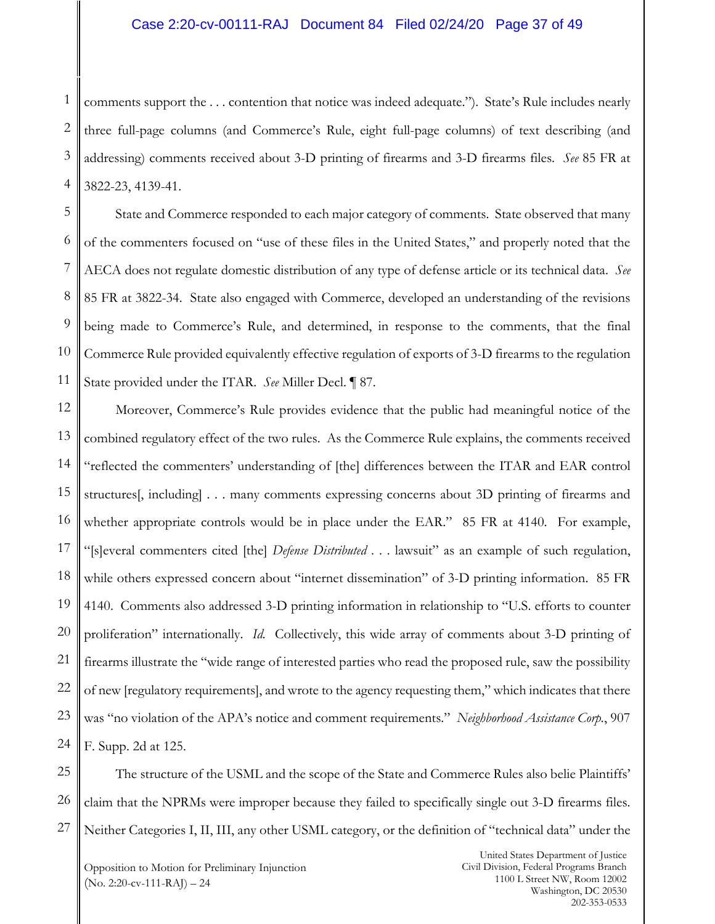#### Case 2:20-cv-00111-RAJ Document 84 Filed 02/24/20 Page 37 of 49

1 2 3 4 comments support the . . . contention that notice was indeed adequate."). State's Rule includes nearly three full-page columns (and Commerce's Rule, eight full-page columns) of text describing (and addressing) comments received about 3-D printing of firearms and 3-D firearms files. *See* 85 FR at 3822-23, 4139-41.

5 6 7 8 9 10 11 State and Commerce responded to each major category of comments. State observed that many of the commenters focused on "use of these files in the United States," and properly noted that the AECA does not regulate domestic distribution of any type of defense article or its technical data. *See* 85 FR at 3822-34. State also engaged with Commerce, developed an understanding of the revisions being made to Commerce's Rule, and determined, in response to the comments, that the final Commerce Rule provided equivalently effective regulation of exports of 3-D firearms to the regulation State provided under the ITAR. *See* Miller Decl. ¶ 87.

12 13 14 15 16 17 18 19 20 21 22 23 24 Moreover, Commerce's Rule provides evidence that the public had meaningful notice of the combined regulatory effect of the two rules. As the Commerce Rule explains, the comments received "reflected the commenters' understanding of [the] differences between the ITAR and EAR control structures[, including] . . . many comments expressing concerns about 3D printing of firearms and whether appropriate controls would be in place under the EAR." 85 FR at 4140. For example, "[s]everal commenters cited [the] *Defense Distributed* . . . lawsuit" as an example of such regulation, while others expressed concern about "internet dissemination" of 3-D printing information. 85 FR 4140. Comments also addressed 3-D printing information in relationship to "U.S. efforts to counter proliferation" internationally. *Id.* Collectively, this wide array of comments about 3-D printing of firearms illustrate the "wide range of interested parties who read the proposed rule, saw the possibility of new [regulatory requirements], and wrote to the agency requesting them," which indicates that there was "no violation of the APA's notice and comment requirements." *Neighborhood Assistance Corp.*, 907 F. Supp. 2d at 125.

25 26 27 The structure of the USML and the scope of the State and Commerce Rules also belie Plaintiffs' claim that the NPRMs were improper because they failed to specifically single out 3-D firearms files. Neither Categories I, II, III, any other USML category, or the definition of "technical data" under the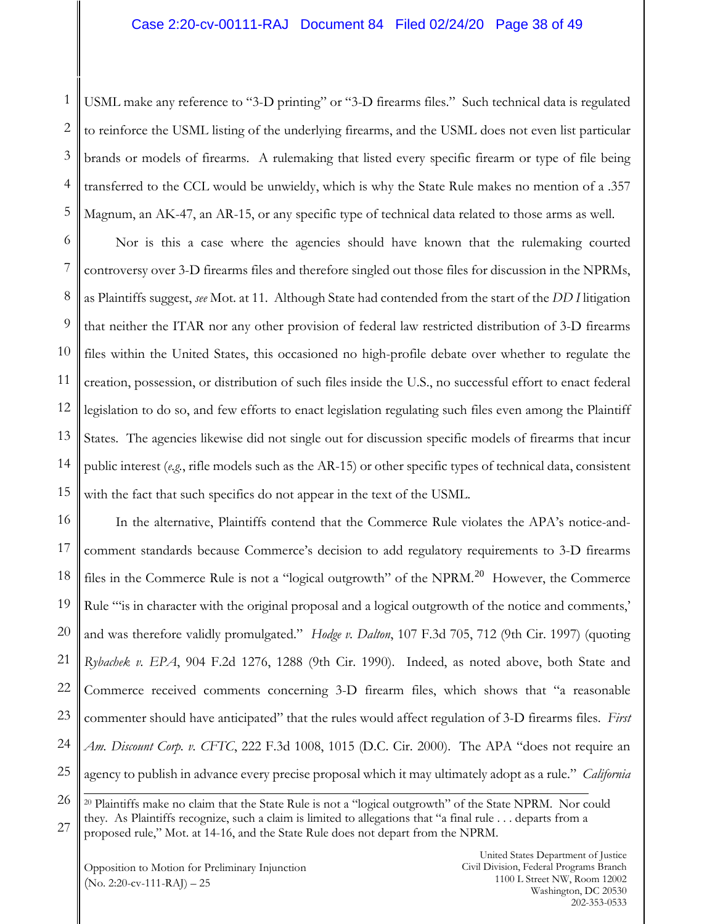1 2 3 4 5 USML make any reference to "3-D printing" or "3-D firearms files." Such technical data is regulated to reinforce the USML listing of the underlying firearms, and the USML does not even list particular brands or models of firearms. A rulemaking that listed every specific firearm or type of file being transferred to the CCL would be unwieldy, which is why the State Rule makes no mention of a .357 Magnum, an AK-47, an AR-15, or any specific type of technical data related to those arms as well.

6 7 8 9 10 11 12 13 14 15 Nor is this a case where the agencies should have known that the rulemaking courted controversy over 3-D firearms files and therefore singled out those files for discussion in the NPRMs, as Plaintiffs suggest, *see* Mot. at 11. Although State had contended from the start of the *DD I* litigation that neither the ITAR nor any other provision of federal law restricted distribution of 3-D firearms files within the United States, this occasioned no high-profile debate over whether to regulate the creation, possession, or distribution of such files inside the U.S., no successful effort to enact federal legislation to do so, and few efforts to enact legislation regulating such files even among the Plaintiff States. The agencies likewise did not single out for discussion specific models of firearms that incur public interest (*e.g.*, rifle models such as the AR-15) or other specific types of technical data, consistent with the fact that such specifics do not appear in the text of the USML.

16 17 18 19 20 21 22 23 24 25 In the alternative, Plaintiffs contend that the Commerce Rule violates the APA's notice-andcomment standards because Commerce's decision to add regulatory requirements to 3-D firearms files in the Commerce Rule is not a "logical outgrowth" of the NPRM.<sup>[20](#page-37-0)</sup> However, the Commerce Rule "'is in character with the original proposal and a logical outgrowth of the notice and comments,' and was therefore validly promulgated." *Hodge v. Dalton*, 107 F.3d 705, 712 (9th Cir. 1997) (quoting *Rybachek v. EPA*, 904 F.2d 1276, 1288 (9th Cir. 1990). Indeed, as noted above, both State and Commerce received comments concerning 3-D firearm files, which shows that "a reasonable commenter should have anticipated" that the rules would affect regulation of 3-D firearms files. *First Am. Discount Corp. v. CFTC*, 222 F.3d 1008, 1015 (D.C. Cir. 2000). The APA "does not require an agency to publish in advance every precise proposal which it may ultimately adopt as a rule." *California* 

<span id="page-37-0"></span>26 27  $\overline{a}$ <sup>20</sup> Plaintiffs make no claim that the State Rule is not a "logical outgrowth" of the State NPRM. Nor could they. As Plaintiffs recognize, such a claim is limited to allegations that "a final rule . . . departs from a proposed rule," Mot. at 14-16, and the State Rule does not depart from the NPRM.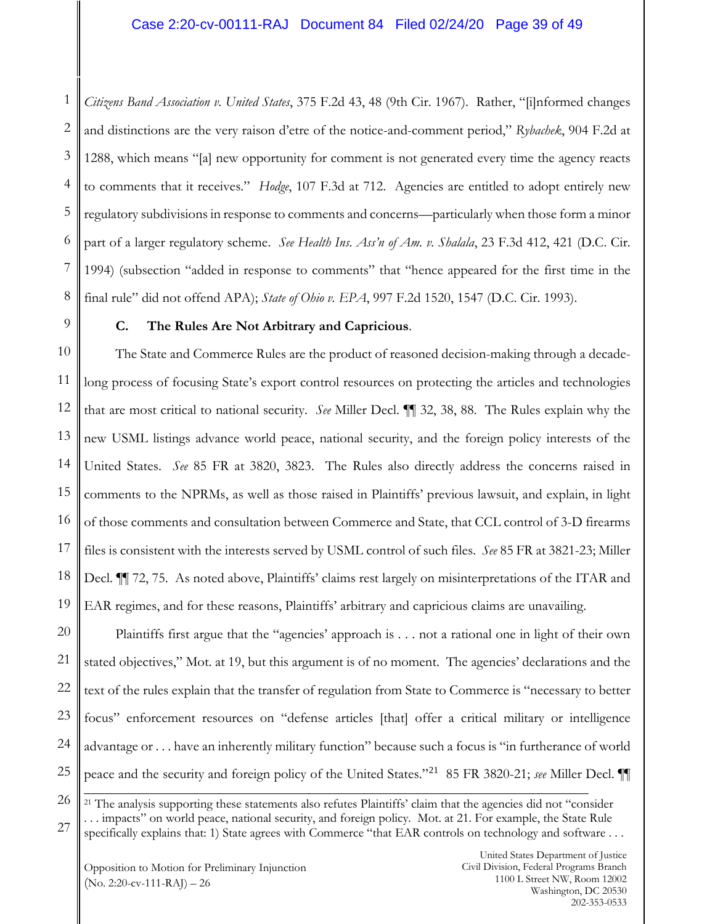1 2 3 4 5 6 7 8 *Citizens Band Association v. United States*, 375 F.2d 43, 48 (9th Cir. 1967). Rather, "[i]nformed changes and distinctions are the very raison d'etre of the notice-and-comment period," *Rybachek*, 904 F.2d at 1288, which means "[a] new opportunity for comment is not generated every time the agency reacts to comments that it receives." *Hodge*, 107 F.3d at 712. Agencies are entitled to adopt entirely new regulatory subdivisions in response to comments and concerns—particularly when those form a minor part of a larger regulatory scheme. *See Health Ins. Ass'n of Am. v. Shalala*, 23 F.3d 412, 421 (D.C. Cir. 1994) (subsection "added in response to comments" that "hence appeared for the first time in the final rule" did not offend APA); *State of Ohio v. EPA*, 997 F.2d 1520, 1547 (D.C. Cir. 1993).

# 9

## **C. The Rules Are Not Arbitrary and Capricious**.

10 11 12 13 14 15 16 17 18 19 The State and Commerce Rules are the product of reasoned decision-making through a decadelong process of focusing State's export control resources on protecting the articles and technologies that are most critical to national security. *See* Miller Decl. ¶¶ 32, 38, 88. The Rules explain why the new USML listings advance world peace, national security, and the foreign policy interests of the United States. *See* 85 FR at 3820, 3823. The Rules also directly address the concerns raised in comments to the NPRMs, as well as those raised in Plaintiffs' previous lawsuit, and explain, in light of those comments and consultation between Commerce and State, that CCL control of 3-D firearms files is consistent with the interests served by USML control of such files. *See* 85 FR at 3821-23; Miller Decl. ¶¶ 72, 75. As noted above, Plaintiffs' claims rest largely on misinterpretations of the ITAR and EAR regimes, and for these reasons, Plaintiffs' arbitrary and capricious claims are unavailing.

20 21 22 23 24 25 Plaintiffs first argue that the "agencies' approach is . . . not a rational one in light of their own stated objectives," Mot. at 19, but this argument is of no moment. The agencies' declarations and the text of the rules explain that the transfer of regulation from State to Commerce is "necessary to better focus" enforcement resources on "defense articles [that] offer a critical military or intelligence advantage or . . . have an inherently military function" because such a focus is "in furtherance of world peace and the security and foreign policy of the United States."[21](#page-38-0) 85 FR 3820-21; *see* Miller Decl. ¶¶

<span id="page-38-0"></span>26 27  $\overline{a}$ <sup>21</sup> The analysis supporting these statements also refutes Plaintiffs' claim that the agencies did not "consider . . . impacts" on world peace, national security, and foreign policy. Mot. at 21. For example, the State Rule specifically explains that: 1) State agrees with Commerce "that EAR controls on technology and software . . .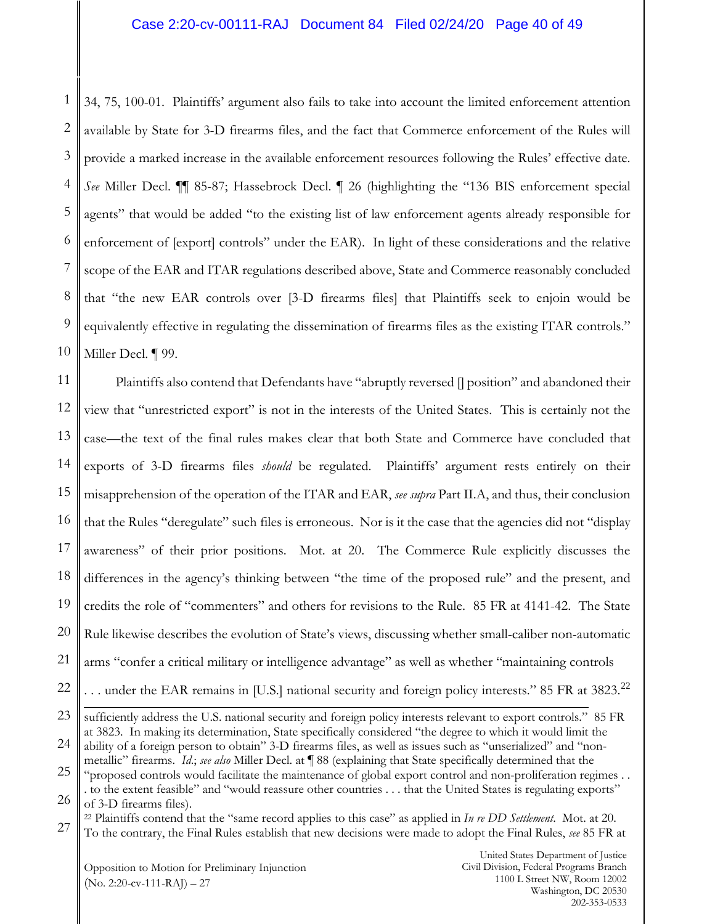1 2 3 4 5 6 7 8 9 10 34, 75, 100-01. Plaintiffs' argument also fails to take into account the limited enforcement attention available by State for 3-D firearms files, and the fact that Commerce enforcement of the Rules will provide a marked increase in the available enforcement resources following the Rules' effective date. *See* Miller Decl. ¶¶ 85-87; Hassebrock Decl. ¶ 26 (highlighting the "136 BIS enforcement special agents" that would be added "to the existing list of law enforcement agents already responsible for enforcement of [export] controls" under the EAR). In light of these considerations and the relative scope of the EAR and ITAR regulations described above, State and Commerce reasonably concluded that "the new EAR controls over [3-D firearms files] that Plaintiffs seek to enjoin would be equivalently effective in regulating the dissemination of firearms files as the existing ITAR controls." Miller Decl. ¶ 99.

11 12 13 14 15 16 17 18 19 20 21 22 Plaintiffs also contend that Defendants have "abruptly reversed [] position" and abandoned their view that "unrestricted export" is not in the interests of the United States. This is certainly not the case—the text of the final rules makes clear that both State and Commerce have concluded that exports of 3-D firearms files *should* be regulated. Plaintiffs' argument rests entirely on their misapprehension of the operation of the ITAR and EAR, *see supra* Part II.A, and thus, their conclusion that the Rules "deregulate" such files is erroneous. Nor is it the case that the agencies did not "display awareness" of their prior positions. Mot. at 20. The Commerce Rule explicitly discusses the differences in the agency's thinking between "the time of the proposed rule" and the present, and credits the role of "commenters" and others for revisions to the Rule. 85 FR at 4141-42. The State Rule likewise describes the evolution of State's views, discussing whether small-caliber non-automatic arms "confer a critical military or intelligence advantage" as well as whether "maintaining controls  $\dots$  under the EAR remains in [U.S.] national security and foreign policy interests." 85 FR at 3823.<sup>[22](#page-39-0)</sup>

23 24 25 sufficiently address the U.S. national security and foreign policy interests relevant to export controls." 85 FR at 3823. In making its determination, State specifically considered "the degree to which it would limit the ability of a foreign person to obtain" 3-D firearms files, as well as issues such as "unserialized" and "nonmetallic" firearms. *Id*.; *see also* Miller Decl. at ¶ 88 (explaining that State specifically determined that the "proposed controls would facilitate the maintenance of global export control and non-proliferation regimes . .

26 . to the extent feasible" and "would reassure other countries . . . that the United States is regulating exports" of 3-D firearms files).

<span id="page-39-0"></span>27 <sup>22</sup> Plaintiffs contend that the "same record applies to this case" as applied in *In re DD Settlement*. Mot. at 20. To the contrary, the Final Rules establish that new decisions were made to adopt the Final Rules, *see* 85 FR at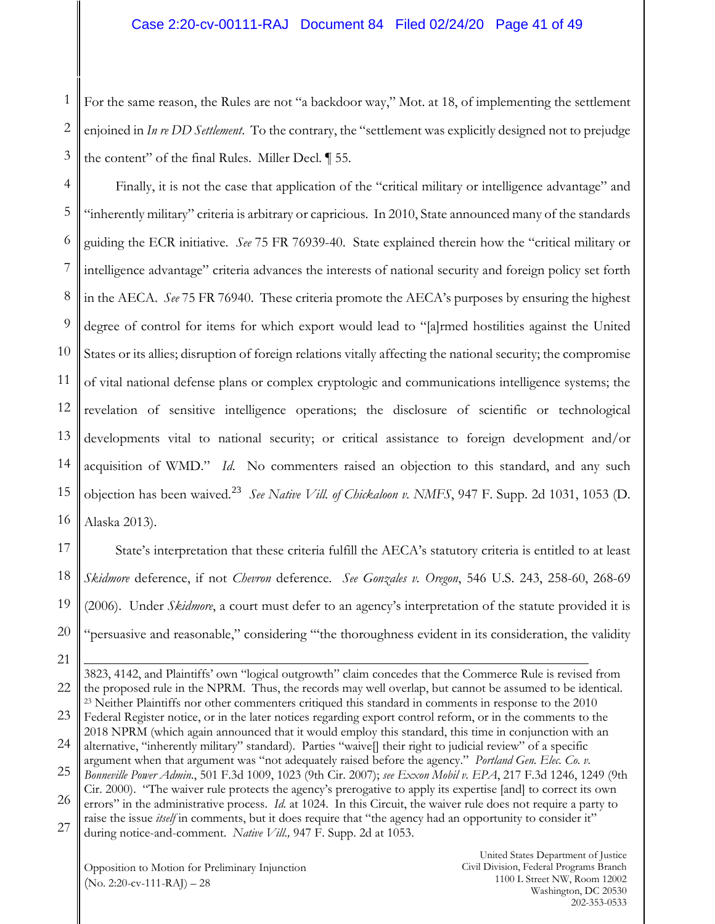1 2 3 For the same reason, the Rules are not "a backdoor way," Mot. at 18, of implementing the settlement enjoined in *In re DD Settlement*. To the contrary, the "settlement was explicitly designed not to prejudge the content" of the final Rules. Miller Decl. ¶ 55.

4 5 6 7 8 9 10 11 12 13 14 15 16 Finally, it is not the case that application of the "critical military or intelligence advantage" and "inherently military" criteria is arbitrary or capricious. In 2010, State announced many of the standards guiding the ECR initiative. *See* 75 FR 76939-40. State explained therein how the "critical military or intelligence advantage" criteria advances the interests of national security and foreign policy set forth in the AECA. *See* 75 FR 76940. These criteria promote the AECA's purposes by ensuring the highest degree of control for items for which export would lead to "[a]rmed hostilities against the United States or its allies; disruption of foreign relations vitally affecting the national security; the compromise of vital national defense plans or complex cryptologic and communications intelligence systems; the revelation of sensitive intelligence operations; the disclosure of scientific or technological developments vital to national security; or critical assistance to foreign development and/or acquisition of WMD." *Id*. No commenters raised an objection to this standard, and any such objection has been waived.[23](#page-40-0) *See Native Vill. of Chickaloon v. NMFS*, 947 F. Supp. 2d 1031, 1053 (D. Alaska 2013).

17 18 19 20 State's interpretation that these criteria fulfill the AECA's statutory criteria is entitled to at least *Skidmore* deference, if not *Chevron* deference. *See Gonzales v. Oregon*, 546 U.S. 243, 258-60, 268-69 (2006). Under *Skidmore*, a court must defer to an agency's interpretation of the statute provided it is "persuasive and reasonable," considering "'the thoroughness evident in its consideration, the validity

21

 $\overline{a}$ 

<span id="page-40-0"></span>22 23 24 25 26 27 3823, 4142, and Plaintiffs' own "logical outgrowth" claim concedes that the Commerce Rule is revised from the proposed rule in the NPRM. Thus, the records may well overlap, but cannot be assumed to be identical. <sup>23</sup> Neither Plaintiffs nor other commenters critiqued this standard in comments in response to the 2010 Federal Register notice, or in the later notices regarding export control reform, or in the comments to the 2018 NPRM (which again announced that it would employ this standard, this time in conjunction with an alternative, "inherently military" standard). Parties "waive[] their right to judicial review" of a specific argument when that argument was "not adequately raised before the agency." *Portland Gen. Elec. Co. v. Bonneville Power Admin*., 501 F.3d 1009, 1023 (9th Cir. 2007); *see Exxon Mobil v. EPA*, 217 F.3d 1246, 1249 (9th Cir. 2000). "The waiver rule protects the agency's prerogative to apply its expertise [and] to correct its own errors" in the administrative process. *Id.* at 1024. In this Circuit, the waiver rule does not require a party to raise the issue *itself* in comments, but it does require that "the agency had an opportunity to consider it" during notice-and-comment. *Native Vill*.*,* 947 F. Supp. 2d at 1053.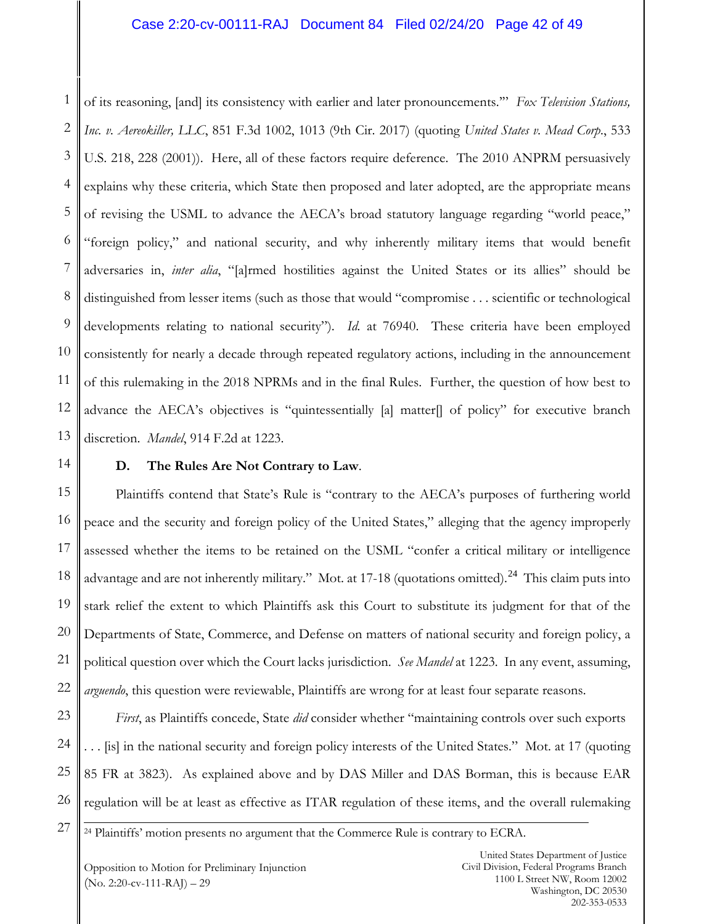1 2 3 4 5 6 7 8 9 10 11 12 13 of its reasoning, [and] its consistency with earlier and later pronouncements.'" *Fox Television Stations, Inc. v. Aereokiller, LLC*, 851 F.3d 1002, 1013 (9th Cir. 2017) (quoting *United States v. Mead Corp*., 533 U.S. 218, 228 (2001)). Here, all of these factors require deference. The 2010 ANPRM persuasively explains why these criteria, which State then proposed and later adopted, are the appropriate means of revising the USML to advance the AECA's broad statutory language regarding "world peace," "foreign policy," and national security, and why inherently military items that would benefit adversaries in, *inter alia*, "[a]rmed hostilities against the United States or its allies" should be distinguished from lesser items (such as those that would "compromise . . . scientific or technological developments relating to national security"). *Id.* at 76940. These criteria have been employed consistently for nearly a decade through repeated regulatory actions, including in the announcement of this rulemaking in the 2018 NPRMs and in the final Rules. Further, the question of how best to advance the AECA's objectives is "quintessentially [a] matter[] of policy" for executive branch discretion. *Mandel*, 914 F.2d at 1223.

# 14

<span id="page-41-0"></span>27

## **D. The Rules Are Not Contrary to Law**.

15 16 17 18 19 20 21 22 Plaintiffs contend that State's Rule is "contrary to the AECA's purposes of furthering world peace and the security and foreign policy of the United States," alleging that the agency improperly assessed whether the items to be retained on the USML "confer a critical military or intelligence advantage and are not inherently military." Mot. at 17-18 (quotations omitted).<sup>[24](#page-41-0)</sup> This claim puts into stark relief the extent to which Plaintiffs ask this Court to substitute its judgment for that of the Departments of State, Commerce, and Defense on matters of national security and foreign policy, a political question over which the Court lacks jurisdiction. *See Mandel* at 1223. In any event, assuming, *arguendo*, this question were reviewable, Plaintiffs are wrong for at least four separate reasons.

23 24 25 26 *First*, as Plaintiffs concede, State *did* consider whether "maintaining controls over such exports . . . [is] in the national security and foreign policy interests of the United States." Mot. at 17 (quoting 85 FR at 3823). As explained above and by DAS Miller and DAS Borman, this is because EAR regulation will be at least as effective as ITAR regulation of these items, and the overall rulemaking

 $\overline{a}$ <sup>24</sup> Plaintiffs' motion presents no argument that the Commerce Rule is contrary to ECRA.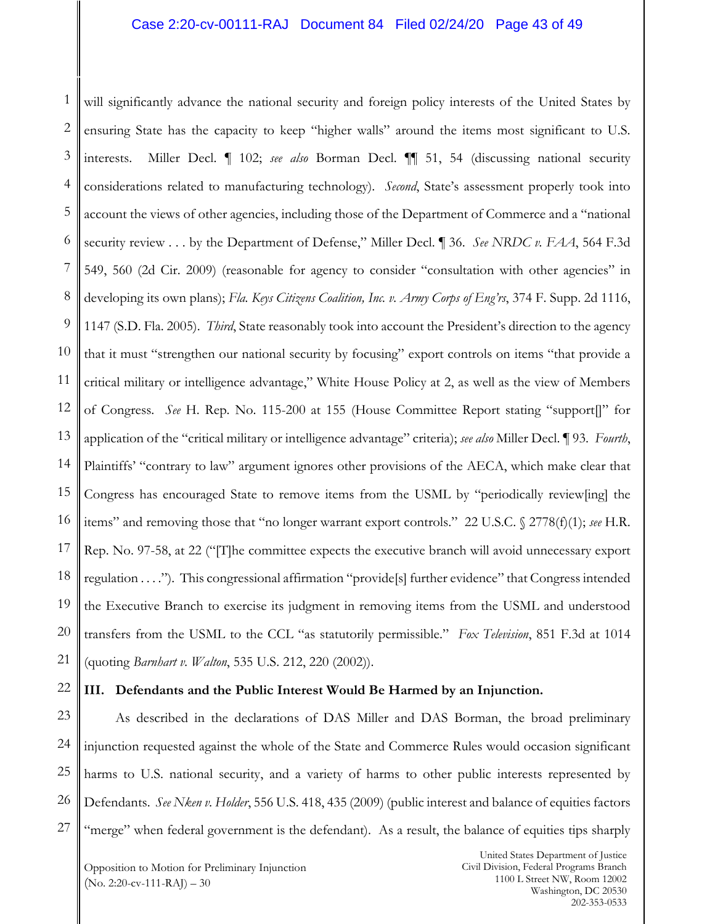1 2 3 4 5 6 7 8 9 10 11 12 13 14 15 16 17 18 19 20 21 will significantly advance the national security and foreign policy interests of the United States by ensuring State has the capacity to keep "higher walls" around the items most significant to U.S. interests. Miller Decl. ¶ 102; *see also* Borman Decl. ¶¶ 51, 54 (discussing national security considerations related to manufacturing technology). *Second*, State's assessment properly took into account the views of other agencies, including those of the Department of Commerce and a "national security review . . . by the Department of Defense," Miller Decl. ¶ 36. *See NRDC v. FAA*, 564 F.3d 549, 560 (2d Cir. 2009) (reasonable for agency to consider "consultation with other agencies" in developing its own plans); *Fla. Keys Citizens Coalition, Inc. v. Army Corps of Eng'rs*, 374 F. Supp. 2d 1116, 1147 (S.D. Fla. 2005). *Third*, State reasonably took into account the President's direction to the agency that it must "strengthen our national security by focusing" export controls on items "that provide a critical military or intelligence advantage," White House Policy at 2, as well as the view of Members of Congress. *See* H. Rep. No. 115-200 at 155 (House Committee Report stating "support[]" for application of the "critical military or intelligence advantage" criteria); *see also* Miller Decl. ¶ 93. *Fourth*, Plaintiffs' "contrary to law" argument ignores other provisions of the AECA, which make clear that Congress has encouraged State to remove items from the USML by "periodically review[ing] the items" and removing those that "no longer warrant export controls." 22 U.S.C. § 2778(f)(1); *see* H.R. Rep. No. 97-58, at 22 ("[T]he committee expects the executive branch will avoid unnecessary export regulation . . . ."). This congressional affirmation "provide[s] further evidence" that Congress intended the Executive Branch to exercise its judgment in removing items from the USML and understood transfers from the USML to the CCL "as statutorily permissible." *Fox Television*, 851 F.3d at 1014 (quoting *Barnhart v. Walton*, 535 U.S. 212, 220 (2002)).

#### 22 **III. Defendants and the Public Interest Would Be Harmed by an Injunction.**

23 24 25 26 27 As described in the declarations of DAS Miller and DAS Borman, the broad preliminary injunction requested against the whole of the State and Commerce Rules would occasion significant harms to U.S. national security, and a variety of harms to other public interests represented by Defendants. *See Nken v. Holder*, 556 U.S. 418, 435 (2009) (public interest and balance of equities factors "merge" when federal government is the defendant). As a result, the balance of equities tips sharply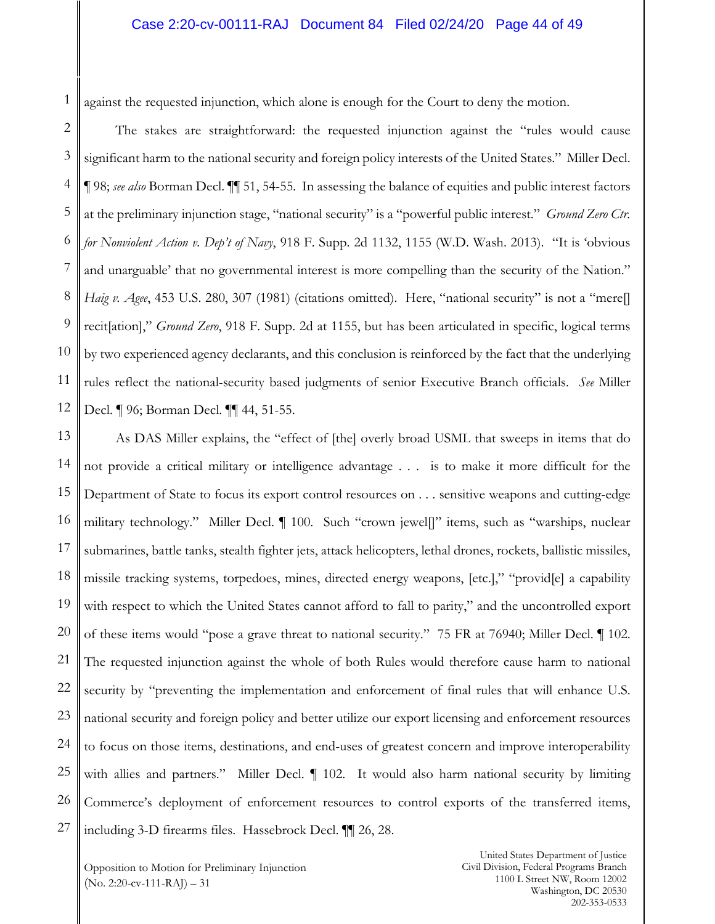against the requested injunction, which alone is enough for the Court to deny the motion.

2 3 4 5 6 7 8 9 10 11 12 The stakes are straightforward: the requested injunction against the "rules would cause significant harm to the national security and foreign policy interests of the United States." Miller Decl. ¶ 98; *see also* Borman Decl. ¶¶ 51, 54-55.In assessing the balance of equities and public interest factors at the preliminary injunction stage, "national security" is a "powerful public interest." *Ground Zero Ctr. for Nonviolent Action v. Dep't of Navy*, 918 F. Supp. 2d 1132, 1155 (W.D. Wash. 2013). "It is 'obvious and unarguable' that no governmental interest is more compelling than the security of the Nation." *Haig v. Agee*, 453 U.S. 280, 307 (1981) (citations omitted). Here, "national security" is not a "mere. recit[ation]," *Ground Zero*, 918 F. Supp. 2d at 1155, but has been articulated in specific, logical terms by two experienced agency declarants, and this conclusion is reinforced by the fact that the underlying rules reflect the national-security based judgments of senior Executive Branch officials. *See* Miller Decl. ¶ 96; Borman Decl. ¶¶ 44, 51-55.

13 14 15 16 17 18 19 20 21 22 23 24 25 27 As DAS Miller explains, the "effect of [the] overly broad USML that sweeps in items that do not provide a critical military or intelligence advantage . . . is to make it more difficult for the Department of State to focus its export control resources on . . . sensitive weapons and cutting-edge military technology." Miller Decl. ¶ 100. Such "crown jewel[]" items, such as "warships, nuclear submarines, battle tanks, stealth fighter jets, attack helicopters, lethal drones, rockets, ballistic missiles, missile tracking systems, torpedoes, mines, directed energy weapons, [etc.]," "provid[e] a capability with respect to which the United States cannot afford to fall to parity," and the uncontrolled export of these items would "pose a grave threat to national security." 75 FR at 76940; Miller Decl. ¶ 102. The requested injunction against the whole of both Rules would therefore cause harm to national security by "preventing the implementation and enforcement of final rules that will enhance U.S. national security and foreign policy and better utilize our export licensing and enforcement resources to focus on those items, destinations, and end-uses of greatest concern and improve interoperability with allies and partners." Miller Decl.  $\parallel$  102. It would also harm national security by limiting Commerce's deployment of enforcement resources to control exports of the transferred items, including 3-D firearms files. Hassebrock Decl. ¶¶ 26, 28.

Opposition to Motion for Preliminary Injunction  $(No. 2:20-cv-111-RAI) - 31$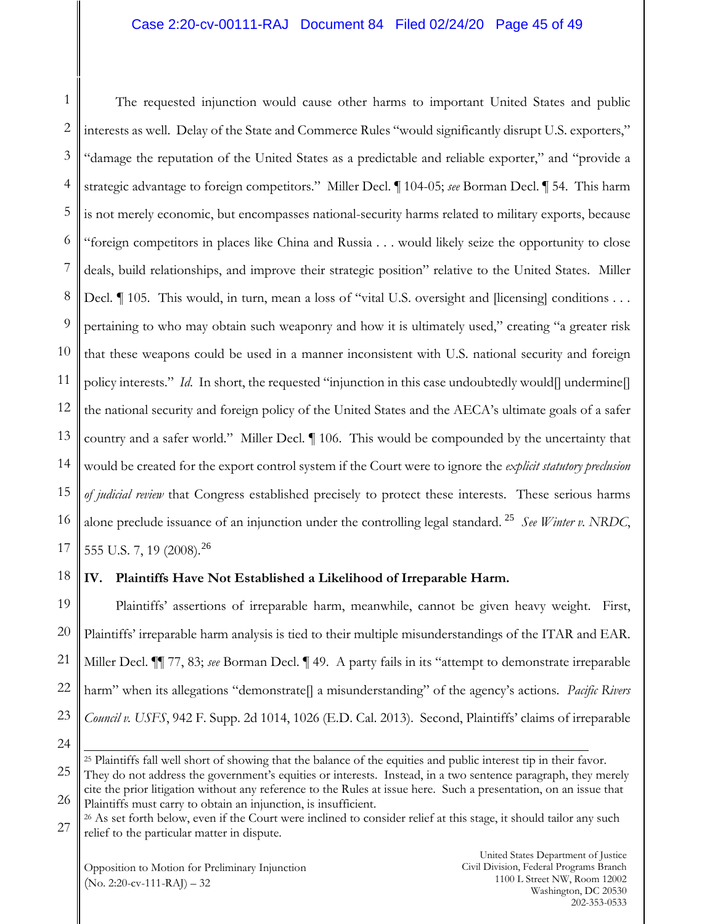#### Case 2:20-cv-00111-RAJ Document 84 Filed 02/24/20 Page 45 of 49

1 2 3 4 5 6 7 8 9 10 11 12 13 14 15 16 17 The requested injunction would cause other harms to important United States and public interests as well. Delay of the State and Commerce Rules "would significantly disrupt U.S. exporters," "damage the reputation of the United States as a predictable and reliable exporter," and "provide a strategic advantage to foreign competitors." Miller Decl. ¶ 104-05; *see* Borman Decl. ¶ 54. This harm is not merely economic, but encompasses national-security harms related to military exports, because "foreign competitors in places like China and Russia . . . would likely seize the opportunity to close deals, build relationships, and improve their strategic position" relative to the United States. Miller Decl.  $\P$  105. This would, in turn, mean a loss of "vital U.S. oversight and [licensing] conditions . . . pertaining to who may obtain such weaponry and how it is ultimately used," creating "a greater risk that these weapons could be used in a manner inconsistent with U.S. national security and foreign policy interests." *Id*. In short, the requested "injunction in this case undoubtedly would[] undermine[] the national security and foreign policy of the United States and the AECA's ultimate goals of a safer country and a safer world." Miller Decl. ¶ 106. This would be compounded by the uncertainty that would be created for the export control system if the Court were to ignore the *explicit statutory preclusion of judicial review* that Congress established precisely to protect these interests. These serious harms alone preclude issuance of an injunction under the controlling legal standard. [25](#page-44-0) *See Winter v. NRDC*, 555 U.S. 7, 19 (2008).<sup>[26](#page-44-1)</sup>

#### 18 **IV. Plaintiffs Have Not Established a Likelihood of Irreparable Harm.**

19 20 21 22 23 Plaintiffs' assertions of irreparable harm, meanwhile, cannot be given heavy weight. First, Plaintiffs' irreparable harm analysis is tied to their multiple misunderstandings of the ITAR and EAR. Miller Decl. ¶¶ 77, 83; *see* Borman Decl. ¶ 49. A party fails in its "attempt to demonstrate irreparable harm" when its allegations "demonstrate[] a misunderstanding" of the agency's actions. *Pacific Rivers Council v. USFS*, 942 F. Supp. 2d 1014, 1026 (E.D. Cal. 2013). Second, Plaintiffs' claims of irreparable

24

 $\overline{a}$ 

<sup>&</sup>lt;sup>25</sup> Plaintiffs fall well short of showing that the balance of the equities and public interest tip in their favor.

<span id="page-44-0"></span><sup>25</sup> 26 They do not address the government's equities or interests. Instead, in a two sentence paragraph, they merely cite the prior litigation without any reference to the Rules at issue here. Such a presentation, on an issue that Plaintiffs must carry to obtain an injunction, is insufficient.

<span id="page-44-1"></span><sup>27</sup> <sup>26</sup> As set forth below, even if the Court were inclined to consider relief at this stage, it should tailor any such relief to the particular matter in dispute.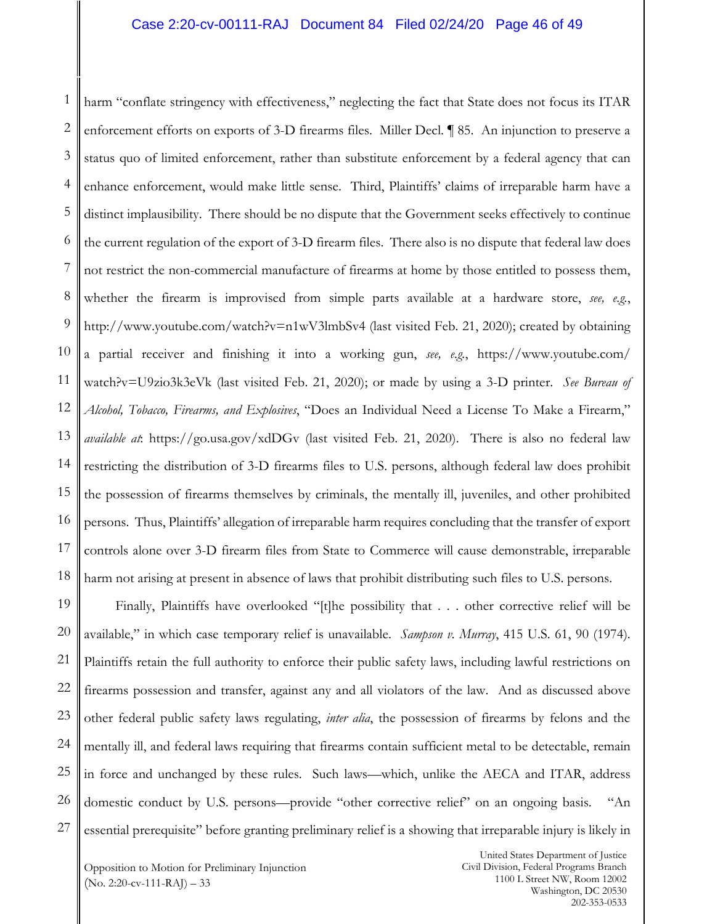1 2 3 4 5 6 7 8 9 10 11 12 13 14 15 16 17 18 harm "conflate stringency with effectiveness," neglecting the fact that State does not focus its ITAR enforcement efforts on exports of 3-D firearms files. Miller Decl. ¶ 85. An injunction to preserve a status quo of limited enforcement, rather than substitute enforcement by a federal agency that can enhance enforcement, would make little sense. Third, Plaintiffs' claims of irreparable harm have a distinct implausibility. There should be no dispute that the Government seeks effectively to continue the current regulation of the export of 3-D firearm files. There also is no dispute that federal law does not restrict the non-commercial manufacture of firearms at home by those entitled to possess them, whether the firearm is improvised from simple parts available at a hardware store, *see, e.g.*, http://www.youtube.com/watch?v=n1wV3lmbSv4 (last visited Feb. 21, 2020); created by obtaining a partial receiver and finishing it into a working gun, *see, e.g.*, https://www.youtube.com/ watch?v=U9zio3k3eVk (last visited Feb. 21, 2020); or made by using a 3-D printer. *See Bureau of Alcohol, Tobacco, Firearms, and Explosives*, "Does an Individual Need a License To Make a Firearm," *available at*: https://go.usa.gov/xdDGv (last visited Feb. 21, 2020). There is also no federal law restricting the distribution of 3-D firearms files to U.S. persons, although federal law does prohibit the possession of firearms themselves by criminals, the mentally ill, juveniles, and other prohibited persons. Thus, Plaintiffs' allegation of irreparable harm requires concluding that the transfer of export controls alone over 3-D firearm files from State to Commerce will cause demonstrable, irreparable harm not arising at present in absence of laws that prohibit distributing such files to U.S. persons.

19 20 21 22 23 24 25 26 27 Finally, Plaintiffs have overlooked "[t]he possibility that . . . other corrective relief will be available," in which case temporary relief is unavailable. *Sampson v. Murray*, 415 U.S. 61, 90 (1974). Plaintiffs retain the full authority to enforce their public safety laws, including lawful restrictions on firearms possession and transfer, against any and all violators of the law. And as discussed above other federal public safety laws regulating, *inter alia*, the possession of firearms by felons and the mentally ill, and federal laws requiring that firearms contain sufficient metal to be detectable, remain in force and unchanged by these rules. Such laws—which, unlike the AECA and ITAR, address domestic conduct by U.S. persons—provide "other corrective relief" on an ongoing basis. "An essential prerequisite" before granting preliminary relief is a showing that irreparable injury is likely in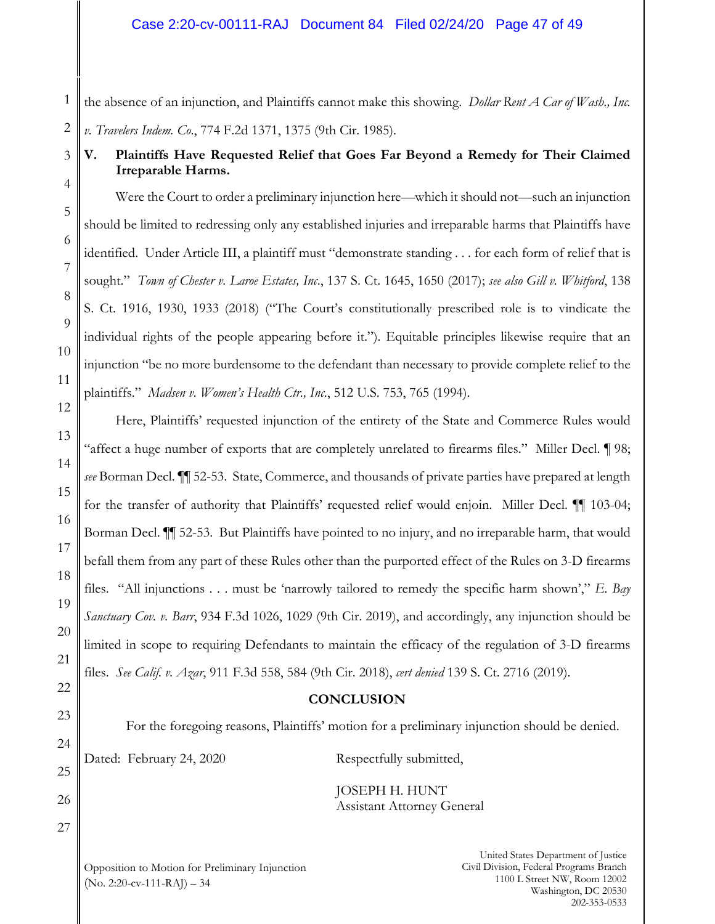the absence of an injunction, and Plaintiffs cannot make this showing. *Dollar Rent A Car of Wash., Inc. v. Travelers Indem. Co*., 774 F.2d 1371, 1375 (9th Cir. 1985).

**V. Plaintiffs Have Requested Relief that Goes Far Beyond a Remedy for Their Claimed Irreparable Harms.**

Were the Court to order a preliminary injunction here—which it should not—such an injunction should be limited to redressing only any established injuries and irreparable harms that Plaintiffs have identified. Under Article III, a plaintiff must "demonstrate standing . . . for each form of relief that is sought." *Town of Chester v. Laroe Estates, Inc*., 137 S. Ct. 1645, 1650 (2017); *see also Gill v. Whitford*, 138 S. Ct. 1916, 1930, 1933 (2018) ("The Court's constitutionally prescribed role is to vindicate the individual rights of the people appearing before it."). Equitable principles likewise require that an injunction "be no more burdensome to the defendant than necessary to provide complete relief to the plaintiffs." *Madsen v. Women's Health Ctr., Inc*., 512 U.S. 753, 765 (1994).

Here, Plaintiffs' requested injunction of the entirety of the State and Commerce Rules would "affect a huge number of exports that are completely unrelated to firearms files." Miller Decl. ¶ 98; *see* Borman Decl. ¶¶ 52-53. State, Commerce, and thousands of private parties have prepared at length for the transfer of authority that Plaintiffs' requested relief would enjoin. Miller Decl. ¶¶ 103-04; Borman Decl. ¶¶ 52-53. But Plaintiffs have pointed to no injury, and no irreparable harm, that would befall them from any part of these Rules other than the purported effect of the Rules on 3-D firearms files. "All injunctions . . . must be 'narrowly tailored to remedy the specific harm shown'," *E. Bay Sanctuary Cov. v. Barr*, 934 F.3d 1026, 1029 (9th Cir. 2019), and accordingly, any injunction should be limited in scope to requiring Defendants to maintain the efficacy of the regulation of 3-D firearms files. *See Calif. v. Azar*, 911 F.3d 558, 584 (9th Cir. 2018), *cert denied* 139 S. Ct. 2716 (2019).

# **CONCLUSION**

For the foregoing reasons, Plaintiffs' motion for a preliminary injunction should be denied.

Dated: February 24, 2020 Respectfully submitted,

JOSEPH H. HUNT Assistant Attorney General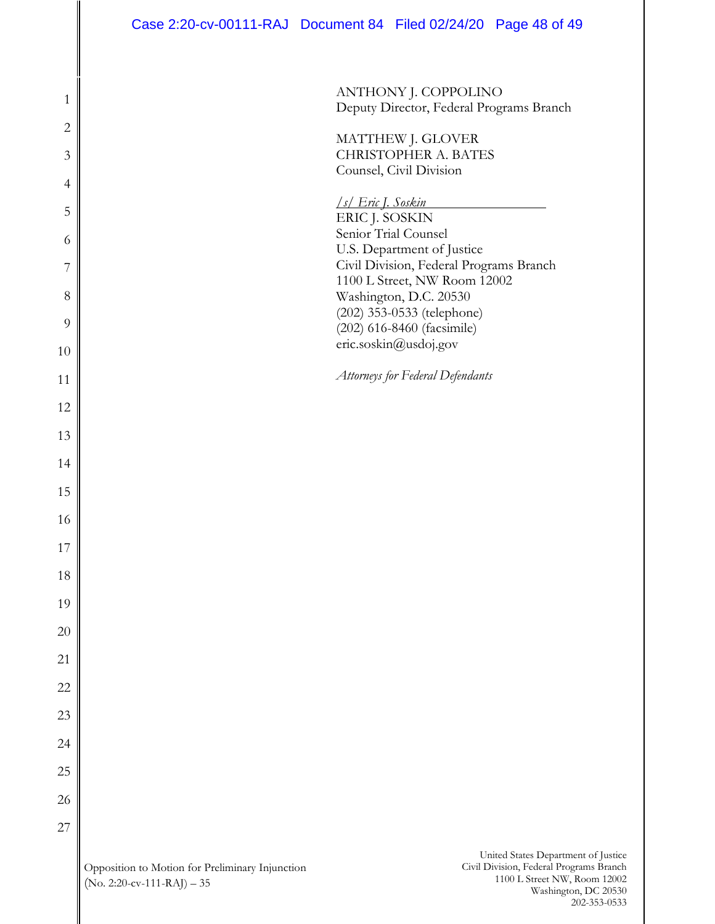| Case 2:20-cv-00111-RAJ Document 84 Filed 02/24/20 Page 48 of 49 |  |  |  |
|-----------------------------------------------------------------|--|--|--|
|-----------------------------------------------------------------|--|--|--|

ANTHONY J. COPPOLINO Deputy Director, Federal Programs Branch

MATTHEW J. GLOVER CHRISTOPHER A. BATES Counsel, Civil Division

*/s/ Eric J. Soskin* ERIC J. SOSKIN Senior Trial Counsel U.S. Department of Justice Civil Division, Federal Programs Branch 1100 L Street, NW Room 12002 Washington, D.C. 20530 (202) 353-0533 (telephone) (202) 616-8460 (facsimile) eric.soskin@usdoj.gov

*Attorneys for Federal Defendants*

1

2

3

4

5

6

7

8

9

10

11

12

13

14

15

16

17

18

19

20

21

22

23

24

25

26